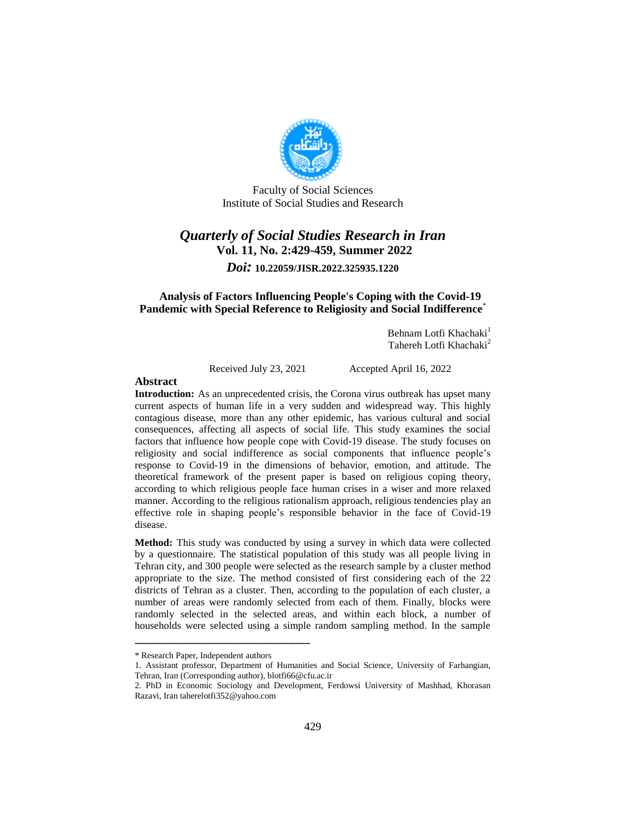

Faculty of Social Sciences Institute of Social Studies and Research

# *Quarterly of Social Studies Research in Iran* **Vol. 11, No. 2:429-459, Summer 2022** *Doi:* **10.22059/JISR.2022.325935.1220**

#### **Analysis of Factors Influencing People's Coping with the Covid-19 Pandemic with Special Reference to Religiosity and Social Indifference**\*

Behnam Lotfi Khachaki<sup>1</sup> Tahereh Lotfi Khachaki<sup>2</sup>

Received July 23, 2021 Accepted April 16, 2022

#### **Abstract**

**Introduction:** As an unprecedented crisis, the Corona virus outbreak has upset many current aspects of human life in a very sudden and widespread way. This highly contagious disease, more than any other epidemic, has various cultural and social consequences, affecting all aspects of social life. This study examines the social factors that influence how people cope with Covid-19 disease. The study focuses on religiosity and social indifference as social components that influence people's response to Covid-19 in the dimensions of behavior, emotion, and attitude. The theoretical framework of the present paper is based on religious coping theory, according to which religious people face human crises in a wiser and more relaxed manner. According to the religious rationalism approach, religious tendencies play an effective role in shaping people's responsible behavior in the face of Covid-19 disease.

**Method:** This study was conducted by using a survey in which data were collected by a questionnaire. The statistical population of this study was all people living in Tehran city, and 300 people were selected as the research sample by a cluster method appropriate to the size. The method consisted of first considering each of the 22 districts of Tehran as a cluster. Then, according to the population of each cluster, a number of areas were randomly selected from each of them. Finally, blocks were randomly selected in the selected areas, and within each block, a number of households were selected using a simple random sampling method. In the sample

<sup>\*</sup> Research Paper, Independent authors

<sup>1.</sup> Assistant professor, Department of Humanities and Social Science, University of Farhangian, Tehran, Iran (Corresponding author), blotfi66@cfu.ac.ir

<sup>2.</sup> PhD in Economic Sociology and Development, Ferdowsi University of Mashhad, Khorasan Razavi, Iran taherelotfi352@yahoo.com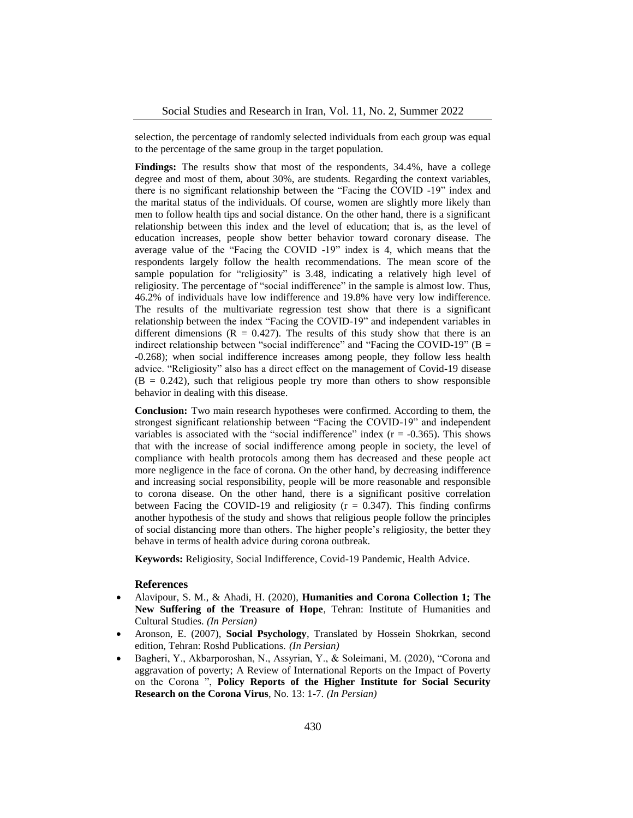selection, the percentage of randomly selected individuals from each group was equal to the percentage of the same group in the target population.

Findings: The results show that most of the respondents, 34.4%, have a college degree and most of them, about 30%, are students. Regarding the context variables, there is no significant relationship between the "Facing the COVID -19" index and the marital status of the individuals. Of course, women are slightly more likely than men to follow health tips and social distance. On the other hand, there is a significant relationship between this index and the level of education; that is, as the level of education increases, people show better behavior toward coronary disease. The average value of the "Facing the COVID -19" index is 4, which means that the respondents largely follow the health recommendations. The mean score of the sample population for "religiosity" is 3.48, indicating a relatively high level of religiosity. The percentage of "social indifference" in the sample is almost low. Thus, 46.2% of individuals have low indifference and 19.8% have very low indifference. The results of the multivariate regression test show that there is a significant relationship between the index "Facing the COVID-19" and independent variables in different dimensions ( $R = 0.427$ ). The results of this study show that there is an indirect relationship between "social indifference" and "Facing the COVID-19" ( $B =$ -0.268); when social indifference increases among people, they follow less health advice. "Religiosity" also has a direct effect on the management of Covid-19 disease  $(B = 0.242)$ , such that religious people try more than others to show responsible behavior in dealing with this disease.

**Conclusion:** Two main research hypotheses were confirmed. According to them, the strongest significant relationship between "Facing the COVID-19" and independent variables is associated with the "social indifference" index  $(r = -0.365)$ . This shows that with the increase of social indifference among people in society, the level of compliance with health protocols among them has decreased and these people act more negligence in the face of corona. On the other hand, by decreasing indifference and increasing social responsibility, people will be more reasonable and responsible to corona disease. On the other hand, there is a significant positive correlation between Facing the COVID-19 and religiosity  $(r = 0.347)$ . This finding confirms another hypothesis of the study and shows that religious people follow the principles of social distancing more than others. The higher people's religiosity, the better they behave in terms of health advice during corona outbreak.

**Keywords:** Religiosity, Social Indifference, Covid-19 Pandemic, Health Advice.

#### **References**

- Alavipour, S. M., & Ahadi, H. (2020), **Humanities and Corona Collection 1; The New Suffering of the Treasure of Hope**, Tehran: Institute of Humanities and Cultural Studies. *(In Persian)*
- Aronson, E. (2007), **Social Psychology**, Translated by Hossein Shokrkan, second edition, Tehran: Roshd Publications. *(In Persian)*
- Bagheri, Y., Akbarporoshan, N., Assyrian, Y., & Soleimani, M. (2020), "Corona and aggravation of poverty; A Review of International Reports on the Impact of Poverty on the Corona ", **Policy Reports of the Higher Institute for Social Security Research on the Corona Virus**, No. 13: 1-7. *(In Persian)*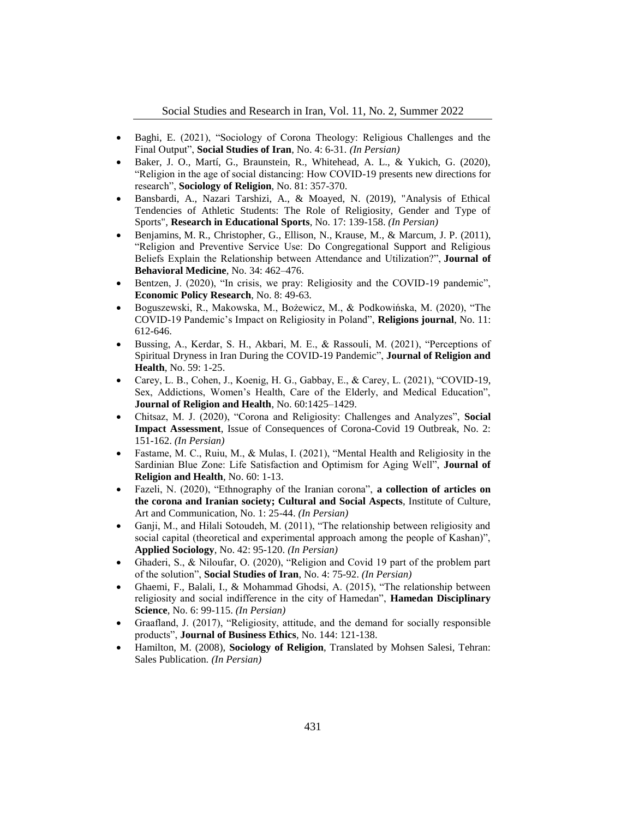- Baghi, E. (2021), "Sociology of Corona Theology: Religious Challenges and the Final Output", **Social Studies of Iran**, No. 4: 6-31. *(In Persian)*
- Baker, J. O., Martí, G., Braunstein, R., Whitehead, A. L., & Yukich, G. (2020), "Religion in the age of social distancing: How COVID-19 presents new directions for research", **Sociology of Religion**, No. 81: 357-370.
- Bansbardi, A., Nazari Tarshizi, A., & Moayed, N. (2019), "Analysis of Ethical Tendencies of Athletic Students: The Role of Religiosity, Gender and Type of Sports", **Research in Educational Sports**, No. 17: 139-158. *(In Persian)*
- Benjamins, M. R., Christopher, G., Ellison, N., Krause, M., & Marcum, J. P. (2011), "Religion and Preventive Service Use: Do Congregational Support and Religious Beliefs Explain the Relationship between Attendance and Utilization?", **Journal of Behavioral Medicine**, No. 34: 462–476.
- Bentzen, J. (2020), "In crisis, we pray: Religiosity and the COVID-19 pandemic", **Economic Policy Research**, No. 8: 49-63.
- Boguszewski, R., Makowska, M., Bożewicz, M., & Podkowińska, M. (2020), "The COVID-19 Pandemic's Impact on Religiosity in Poland", **Religions journal**, No. 11: 612-646.
- Bussing, A., Kerdar, S. H., Akbari, M. E., & Rassouli, M. (2021), "Perceptions of Spiritual Dryness in Iran During the COVID-19 Pandemic", **Journal of Religion and Health**, No. 59: 1-25.
- Carey, L. B., Cohen, J., Koenig, H. G., Gabbay, E., & Carey, L. (2021), "COVID-19, Sex, Addictions, Women's Health, Care of the Elderly, and Medical Education", **Journal of Religion and Health**, No. 60:1425–1429.
- Chitsaz, M. J. (2020), "Corona and Religiosity: Challenges and Analyzes", **Social Impact Assessment**, Issue of Consequences of Corona-Covid 19 Outbreak, No. 2: 151-162. *(In Persian)*
- Fastame, M. C., Ruiu, M., & Mulas, I. (2021), "Mental Health and Religiosity in the Sardinian Blue Zone: Life Satisfaction and Optimism for Aging Well", **Journal of Religion and Health**, No. 60: 1-13.
- Fazeli, N. (2020), "Ethnography of the Iranian corona", **a collection of articles on the corona and Iranian society; Cultural and Social Aspects**, Institute of Culture, Art and Communication, No. 1: 25-44. *(In Persian)*
- Ganji, M., and Hilali Sotoudeh, M. (2011), "The relationship between religiosity and social capital (theoretical and experimental approach among the people of Kashan)", **Applied Sociology**, No. 42: 95-120. *(In Persian)*
- Ghaderi, S., & Niloufar, O. (2020), "Religion and Covid 19 part of the problem part of the solution", **Social Studies of Iran**, No. 4: 75-92. *(In Persian)*
- Ghaemi, F., Balali, I., & Mohammad Ghodsi, A. (2015), "The relationship between religiosity and social indifference in the city of Hamedan", **Hamedan Disciplinary Science**, No. 6: 99-115. *(In Persian)*
- Graafland, J. (2017), "Religiosity, attitude, and the demand for socially responsible products", **Journal of Business Ethics**, No. 144: 121-138.
- Hamilton, M. (2008), **Sociology of Religion**, Translated by Mohsen Salesi, Tehran: Sales Publication. *(In Persian)*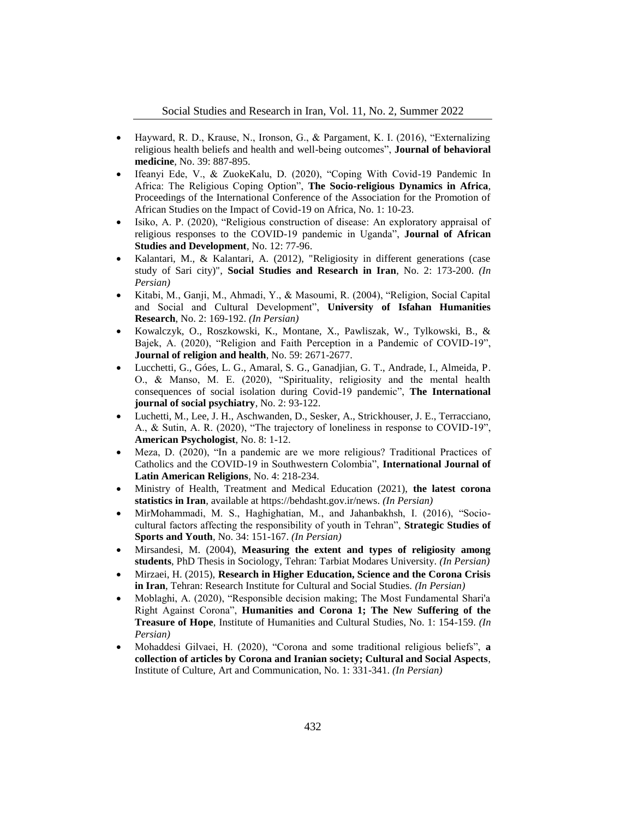- Hayward, R. D., Krause, N., Ironson, G., & Pargament, K. I. (2016), "Externalizing religious health beliefs and health and well-being outcomes", **Journal of behavioral medicine**, No. 39: 887-895.
- Ifeanyi Ede, V., & ZuokeKalu, D. (2020), "Coping With Covid-19 Pandemic In Africa: The Religious Coping Option", **The Socio-religious Dynamics in Africa**, Proceedings of the International Conference of the Association for the Promotion of African Studies on the Impact of Covid-19 on Africa, No. 1: 10-23.
- Isiko, A. P. (2020), "Religious construction of disease: An exploratory appraisal of religious responses to the COVID-19 pandemic in Uganda", **Journal of African Studies and Development**, No. 12: 77-96.
- Kalantari, M., & Kalantari, A. (2012), "Religiosity in different generations (case study of Sari city)", **Social Studies and Research in Iran**, No. 2: 173-200. *(In Persian)*
- Kitabi, M., Ganji, M., Ahmadi, Y., & Masoumi, R. (2004), "Religion, Social Capital and Social and Cultural Development", **University of Isfahan Humanities Research**, No. 2: 169-192. *(In Persian)*
- Kowalczyk, O., Roszkowski, K., Montane, X., Pawliszak, W., Tylkowski, B., & Bajek, A. (2020), "Religion and Faith Perception in a Pandemic of COVID-19", **Journal of religion and health**, No. 59: 2671-2677.
- Lucchetti, G., Góes, L. G., Amaral, S. G., Ganadjian, G. T., Andrade, I., Almeida, P. O., & Manso, M. E. (2020), "Spirituality, religiosity and the mental health consequences of social isolation during Covid-19 pandemic", **The International journal of social psychiatry**, No. 2: 93-122.
- Luchetti, M., Lee, J. H., Aschwanden, D., Sesker, A., Strickhouser, J. E., Terracciano, A., & Sutin, A. R. (2020), "The trajectory of loneliness in response to COVID-19", **American Psychologist**, No. 8: 1-12.
- Meza, D. (2020), "In a pandemic are we more religious? Traditional Practices of Catholics and the COVID-19 in Southwestern Colombia", **International Journal of Latin American Religions**, No. 4: 218-234.
- Ministry of Health, Treatment and Medical Education (2021), **the latest corona statistics in Iran**, available at https://behdasht.gov.ir/news. *(In Persian)*
- MirMohammadi, M. S., Haghighatian, M., and Jahanbakhsh, I. (2016), "Sociocultural factors affecting the responsibility of youth in Tehran", **Strategic Studies of Sports and Youth**, No. 34: 151-167. *(In Persian)*
- Mirsandesi, M. (2004), **Measuring the extent and types of religiosity among students**, PhD Thesis in Sociology, Tehran: Tarbiat Modares University. *(In Persian)*
- Mirzaei, H. (2015), **Research in Higher Education, Science and the Corona Crisis in Iran**, Tehran: Research Institute for Cultural and Social Studies. *(In Persian)*
- Moblaghi, A. (2020), "Responsible decision making; The Most Fundamental Shari'a Right Against Corona", **Humanities and Corona 1; The New Suffering of the Treasure of Hope**, Institute of Humanities and Cultural Studies, No. 1: 154-159. *(In Persian)*
- Mohaddesi Gilvaei, H. (2020), "Corona and some traditional religious beliefs", **a collection of articles by Corona and Iranian society; Cultural and Social Aspects**, Institute of Culture, Art and Communication, No. 1: 331-341. *(In Persian)*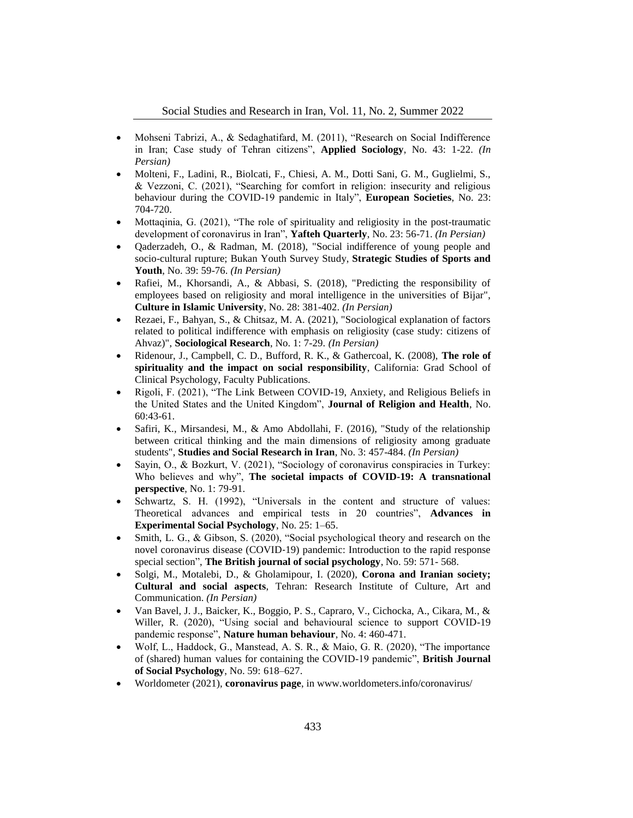- Mohseni Tabrizi, A., & Sedaghatifard, M. (2011), "Research on Social Indifference in Iran; Case study of Tehran citizens", **Applied Sociology**, No. 43: 1-22. *(In Persian)*
- Molteni, F., Ladini, R., Biolcati, F., Chiesi, A. M., Dotti Sani, G. M., Guglielmi, S., & Vezzoni, C. (2021), "Searching for comfort in religion: insecurity and religious behaviour during the COVID-19 pandemic in Italy", **European Societies**, No. 23: 704-720.
- Mottaqinia, G. (2021), "The role of spirituality and religiosity in the post-traumatic development of coronavirus in Iran", **Yafteh Quarterly**, No. 23: 56-71. *(In Persian)*
- Qaderzadeh, O., & Radman, M. (2018), "Social indifference of young people and socio-cultural rupture; Bukan Youth Survey Study, **Strategic Studies of Sports and Youth**, No. 39: 59-76. *(In Persian)*
- Rafiei, M., Khorsandi, A., & Abbasi, S. (2018), "Predicting the responsibility of employees based on religiosity and moral intelligence in the universities of Bijar", **Culture in Islamic University**, No. 28: 381-402. *(In Persian)*
- Rezaei, F., Bahyan, S., & Chitsaz, M. A. (2021), "Sociological explanation of factors related to political indifference with emphasis on religiosity (case study: citizens of Ahvaz)", **Sociological Research**, No. 1: 7-29. *(In Persian)*
- Ridenour, J., Campbell, C. D., Bufford, R. K., & Gathercoal, K. (2008), **The role of spirituality and the impact on social responsibility**, California: Grad School of Clinical Psychology, Faculty Publications.
- Rigoli, F. (2021), "The Link Between COVID-19, Anxiety, and Religious Beliefs in the United States and the United Kingdom", **Journal of Religion and Health**, No. 60:43-61.
- Safiri, K., Mirsandesi, M., & Amo Abdollahi, F. (2016), "Study of the relationship between critical thinking and the main dimensions of religiosity among graduate students", **Studies and Social Research in Iran**, No. 3: 457-484. *(In Persian)*
- Sayin, O., & Bozkurt, V. (2021), "Sociology of coronavirus conspiracies in Turkey: Who believes and why", **The societal impacts of COVID-19: A transnational perspective**, No. 1: 79-91.
- Schwartz, S. H. (1992), "Universals in the content and structure of values: Theoretical advances and empirical tests in 20 countries", **Advances in Experimental Social Psychology**, No. 25: 1–65.
- Smith, L. G., & Gibson, S. (2020), "Social psychological theory and research on the novel coronavirus disease (COVID‐19) pandemic: Introduction to the rapid response special section", **The British journal of social psychology**, No. 59: 571- 568.
- Solgi, M., Motalebi, D., & Gholamipour, I. (2020), **Corona and Iranian society; Cultural and social aspects**, Tehran: Research Institute of Culture, Art and Communication. *(In Persian)*
- Van Bavel, J. J., Baicker, K., Boggio, P. S., Capraro, V., Cichocka, A., Cikara, M., & Willer, R. (2020), "Using social and behavioural science to support COVID-19 pandemic response", **Nature human behaviour**, No. 4: 460-471.
- Wolf, L., Haddock, G., Manstead, A. S. R., & Maio, G. R. (2020), "The importance of (shared) human values for containing the COVID-19 pandemic", **British Journal of Social Psychology**, No. 59: 618–627.
- Worldometer (2021), **coronavirus page**, in www.worldometers.info/coronavirus/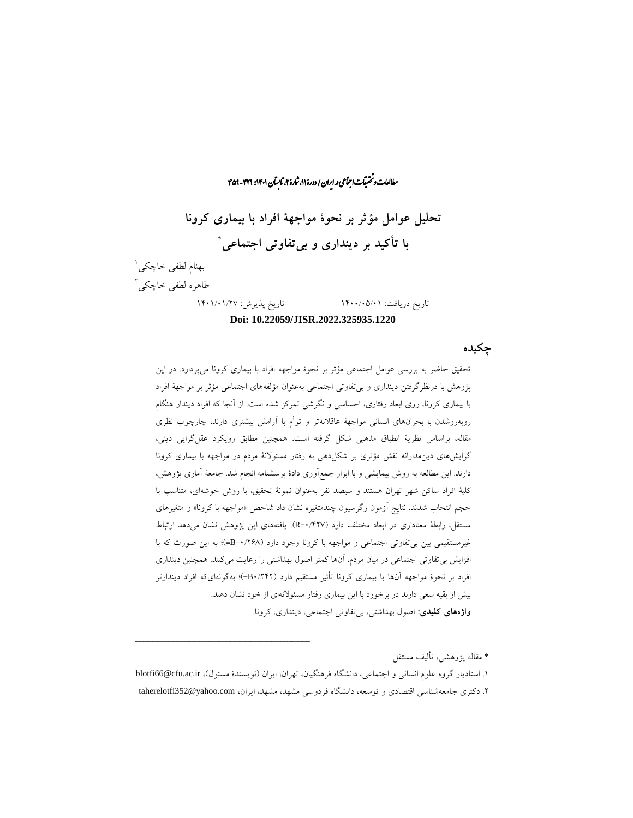راان است و تحقیقات اجتماعی در ایران / دورۀ ۸۱ شاره ۲، تابسآن ۱۴۶۱: ۴۲۹-۴۵۹ ما **تحلیل عوامل مؤثر بر نحوۀ مواجهۀ افراد با بیماری کرونا**  \* **با تأکید بر دینداری و بیتفاوتی اجتماعی** بهنام لطفی خاچکی<sup>'</sup> طاهره لطفی خاچکی<sup>۲</sup>

ش

### تاریخ دریافت: 1400/05/01 تاریخ پذیرش: 1401/01/27 **Doi: 10.22059/JISR.2022.325935.1220**

**چکیده**

تحقیق حاضر به بررسی عوامل اجتماعی مؤثر بر نحوۀ مواجهه افراد با بیماری کرونا میپردازد. در این پژوهش با درنظرگرفتن دینداری و بیتفاوتی اجتماعی بهعنوان مؤلفههای اجتماعی مؤثر بر مواجهۀ افراد با بیماری کرونا، روی ابعاد رفتاری، احساسی و نگرشی تمرکز شده است. از آنجا که افراد دیندار هنگام روبهروشدن با بحرانهای انسانی مواجهۀ عاقالنهتر و توأم با آرامش بیشتری دارند، چارچوب نظری مقاله، براساس نظریۀ انطباق مذهبی شکل گرفته است. همچنین مطابق رویکرد عقلگرایی دینی، گرایشهای دینمدارانه نقش مؤثری بر شکلدهی به رفتار مسئوالنۀ مردم در مواجهه با بیماری کرونا دارند. این مطالعه به روش پیمایشی و با ابزار جمعآوری دادۀ پرسشنامه انجام شد. جامعۀ آماری پژوهش، کلیۀ افراد ساکن شهر تهران هستند و سیصد نفر بهعنوان نمونۀ تحقیق، با روش خوشهای، متناسب با حجم انتخاب شدند. نتایج آزمون رگرسیون چندمتغیره نشان داد شاخص »مواجهه با کرونا« و متغیرهای مستقل، رابطۀ معناداری در ابعاد مختلف دارد )0/427=R). یافتههای این پژوهش نشان میدهد ارتباط غیرمستقیمی بین بی تفاوتی اجتماعی و مواجهه با کرونا وجود دارد (۱۲۶۸-=B=)؛ به این صورت که با افزایش بیتفاوتی اجتماعی در میان مردم، آنها کمتر اصول بهداشتی را رعایت میکنند. همچنین دینداری افراد بر نحوۀ مواجهه آنها با بیماری کرونا تأثیر مستقیم دارد )0/242B)=؛ بهگونهایکه افراد دیندارتر بیش از بقیه سعی دارند در برخورد با این بیماری رفتار مسئوالنهای از خود نشان دهند. **واژههای کلیدی:** اصول بهداشتی، بیتفاوتی اجتماعی، دینداری، کرونا.

\* مقاله پژوهشی، تألیف مستقل

1. استادیار گروه علوم انسانی و اجتماعی، دانشگاه فرهنگیان، تهران، ایران (نویسندۀ مسئول)، blotfi66@cfu.ac.ir .2 دکتری جامعهشناسی اقتصادی و توسعه، دانشگاه فردوسی مشهد، مشهد، ایران، com.yahoo@352taherelotfi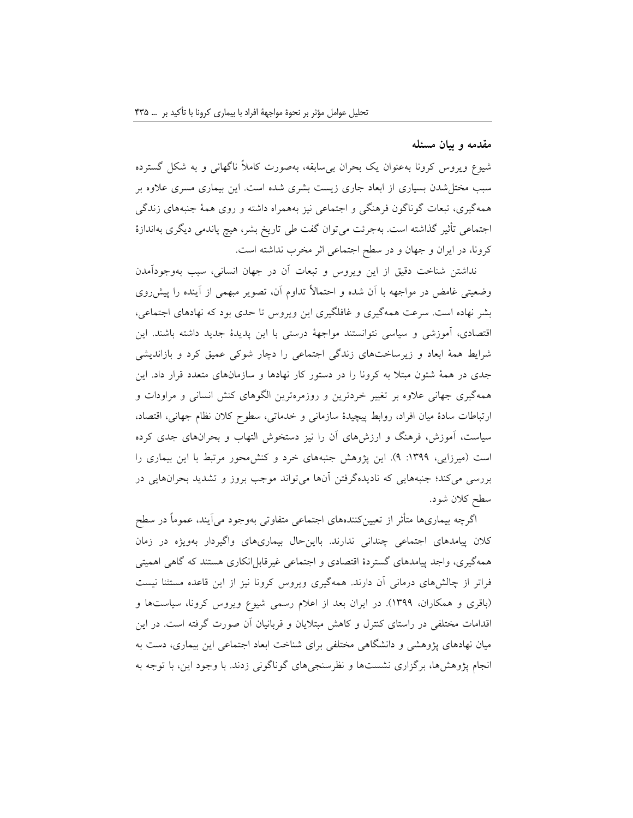#### **مقدمه و بیان مسئله**

شیوع ویروس کرونا بهعنوان یک بحران بیسابقه، بهصورت کامالً ناگهانی و به شکل گسترده سبب مختلشدن بسیاری از ابعاد جاری زیست بشری شده است. این بیماری مسری عالوه بر همهگیری، تبعات گوناگون فرهنگی و اجتماعی نیز بههمراه داشته و روی همۀ جنبههای زندگی اجتماعی تأثیر گذاشته است. بهجرئت میتوان گفت طی تاریخ بشر، هیچ پاندمی دیگری بهاندازۀ کرونا، در ایران و جهان و در سطح اجتماعی اثر مخرب نداشته است.

نداشتن شناخت دقیق از این ویروس و تبعات آن در جهان انسانی، سبب بهوجودآمدن وضعیتی غامض در مواجهه با آن شده و احتماالً تداوم آن، تصویر مبهمی از آینده را پیشروی بشر نهاده است. سرعت همهگیری و غافلگیری این ویروس تا حدی بود که نهادهای اجتماعی، اقتصادی، آموزشی و سیاسی نتوانستند مواجهۀ درستی با این پدیدۀ جدید داشته باشند. این شرایط همۀ ابعاد و زیرساختهای زندگی اجتماعی را دچار شوکی عمیق کرد و بازاندیشی جدی در همۀ شئون مبتال به کرونا را در دستور کار نهادها و سازمانهای متعدد قرار داد. این همهگیری جهانی عالوه بر تغییر خردترین و روزمرهترین الگوهای کنش انسانی و مراودات و ارتباطات سادۀ میان افراد، روابط پیچیدۀ سازمانی و خدماتی، سطوح کالن نظام جهانی، اقتصاد، سیاست، آموزش، فرهنگ و ارزشهای آن را نیز دستخوش التهاب و بحرانهای جدی کرده است (میرزایی، ۱۳۹۹: ۹). این پژوهش جنبههای خرد و کنش محور مرتبط با این بیماری را بررسی میکند؛ جنبههایی که نادیدهگرفتن آنها میتواند موجب بروز و تشدید بحرانهایی در سطح کالن شود.

اگرچه بیماریها متأثر از تعیینکنندههای اجتماعی متفاوتی بهوجود میآیند، عموماً در سطح کالن پیامدهای اجتماعی چندانی ندارند. بااینحال بیماریهای واگیردار بهویژه در زمان همهگیری، واجد پیامدهای گستردۀ اقتصادی و اجتماعی غیرقابل|نکاری هستند که گاهی اهمیتی فراتر از چالشهای درمانی آن دارند. همهگیری ویروس کرونا نیز از این قاعده مستثنا نیست )باقری و همکاران، 1399(. در ایران بعد از اعالم رسمی شیوع ویروس کرونا، سیاستها و اقدامات مختلفی در راستای کنترل و کاهش مبتالیان و قربانیان آن صورت گرفته است. در این میان نهادهای پژوهشی و دانشگاهی مختلفی برای شناخت ابعاد اجتماعی این بیماری، دست به انجام پژوهشها، برگزاری نشستها و نظرسنجیهای گوناگونی زدند. با وجود این، با توجه به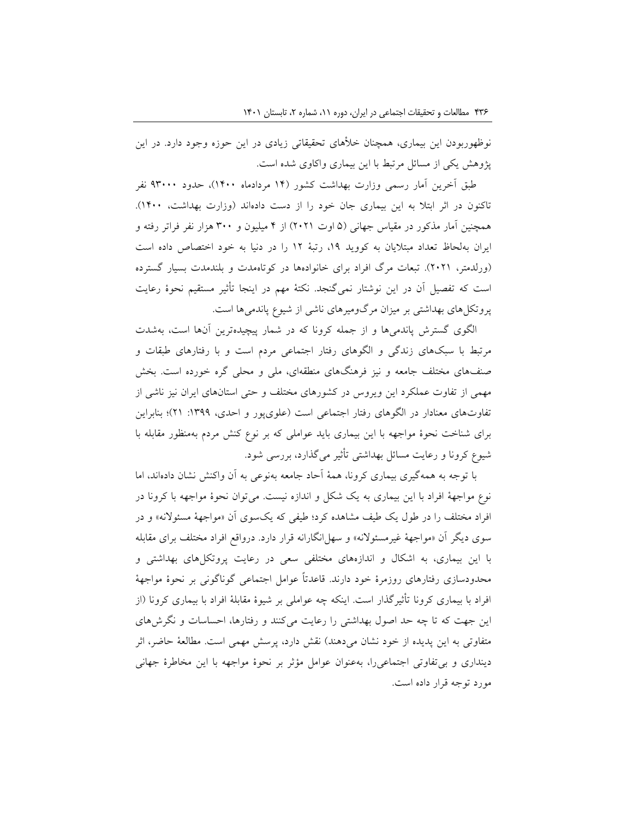نوظهوربودن این بیماری، همچنان خلأهای تحقیقاتی زیادی در این حوزه وجود دارد. در این پژوهش یکی از مسائل مرتبط با این بیماری واکاوی شده است.

طبق آخرین آمار رسمی وزارت بهداشت کشور )14 مردادماه 1400(، حدود 93000 نفر تاکنون در اثر ابتلا به این بیماری جان خود را از دست دادهاند (وزارت بهداشت، ۱۴۰۰). همچنین آمار مذکور در مقیاس جهانی (۵ اوت ۲۰۲۱) از ۴ میلیون و ۳۰۰ هزار نفر فراتر رفته و ایران بهلحاظ تعداد مبتالیان به کووید ،19 رتبۀ 12 را در دنیا به خود اختصاص داده است )ورلدمتر، 2021(. تبعات مرگ افراد برای خانوادهها در کوتاهمدت و بلندمدت بسیار گسترده است که تفصیل آن در این نوشتار نمیگنجد. نکتۀ مهم در اینجا تأثیر مستقیم نحوۀ رعایت پروتکلهای بهداشتی بر میزان مرگومیرهای ناشی از شیوع پاندمیها است.

الگوی گسترش پاندمیها و از جمله کرونا که در شمار پیچیدهترین آنها است، بهشدت مرتبط با سبکهای زندگی و الگوهای رفتار اجتماعی مردم است و با رفتارهای طبقات و صنفهای مختلف جامعه و نیز فرهنگهای منطقهای، ملی و محلی گره خورده است. بخش مهمی از تفاوت عملکرد این ویروس در کشورهای مختلف و حتی استانهای ایران نیز ناشی از تفاوتهای معنادار در الگوهای رفتار اجتماعی است (علویپور و احدی، ١٣٩٩: ٢١)؛ بنابراین برای شناخت نحوۀ مواجهه با این بیماری باید عواملی که بر نوع کنش مردم بهمنظور مقابله با شیوع کرونا و رعایت مسائل بهداشتی تأثیر میگذارد، بررسی شود.

با توجه به همهگیری بیماری کرونا، همۀ آحاد جامعه بهنوعی به آن واکنش نشان دادهاند، اما نوع مواجهۀ افراد با این بیماری به یک شکل و اندازه نیست. میتوان نحوۀ مواجهه با کرونا در افراد مختلف را در طول یک طیف مشاهده کرد؛ طیفی که یکسوی آن »مواجهۀ مسئوالنه« و در سوی دیگر آن »مواجهۀ غیرمسئوالنه« و سهلانگارانه قرار دارد. درواقع افراد مختلف برای مقابله با این بیماری، به اشکال و اندازههای مختلفی سعی در رعایت پروتکلهای بهداشتی و محدودسازی رفتارهای روزمرۀ خود دارند. قاعدتاً عوامل اجتماعی گوناگونی بر نحوۀ مواجهۀ افراد با بیماری کرونا تأثیرگذار است. اینکه چه عواملی بر شیوۀ مقابلۀ افراد با بیماری کرونا )از این جهت که تا چه حد اصول بهداشتی را رعایت میکنند و رفتارها، احساسات و نگرشهای متفاوتی به این پدیده از خود نشان میدهند) نقش دارد، پرسش مهمی است. مطالعۀ حاضر، اثر دینداری و بیتفاوتی اجتماعیرا، بهعنوان عوامل مؤثر بر نحوۀ مواجهه با این مخاطرۀ جهانی مورد توجه قرار داده است.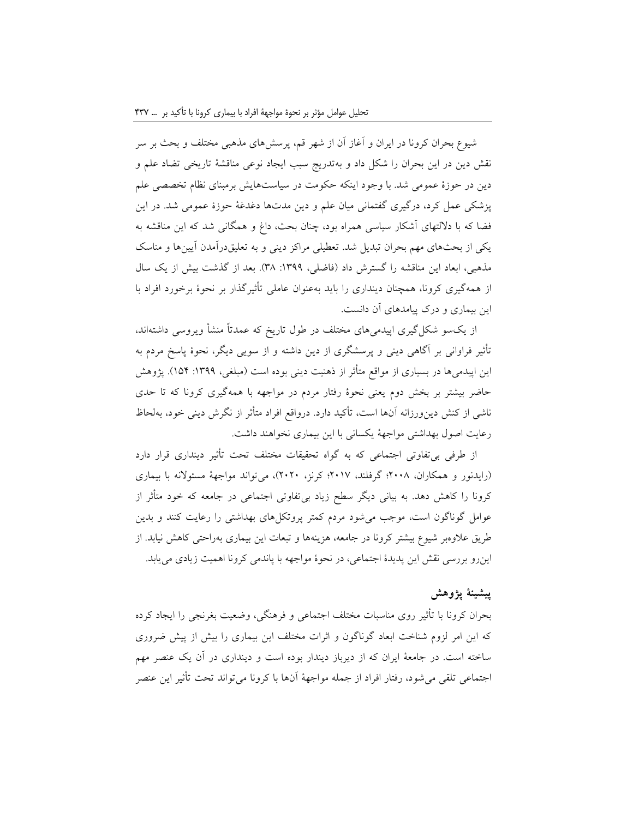شیوع بحران کرونا در ایران و آغاز آن از شهر قم، پرسشهای مذهبی مختلف و بحث بر سر نقش دین در این بحران را شکل داد و بهتدریج سبب ایجاد نوعی مناقشۀ تاریخی تضاد علم و دین در حوزۀ عمومی شد. با وجود اینکه حکومت در سیاستهایش برمبنای نظام تخصصی علم پزشکی عمل کرد، درگیری گفتمانی میان علم و دین مدتها دغدغۀ حوزۀ عمومی شد. در این فضا که با داللتهای آشکار سیاسی همراه بود، چنان بحث، داغ و همگانی شد که این مناقشه به یکی از بحثهای مهم بحران تبدیل شد. تعطیلی مراکز دینی و به تعلیقدرآمدن آیینها و مناسک مذهبی، ابعاد این مناقشه را گسترش داد )فاضلی، :1399 38(. بعد از گذشت بیش از یک سال از همهگیری کرونا، همچنان دینداری را باید بهعنوان عاملی تأثیرگذار بر نحوۀ برخورد افراد با این بیماری و درک پیامدهای آن دانست.

از یکسو شکلگیری اپیدمیهای مختلف در طول تاریخ که عمدتاً منشأ ویروسی داشتهاند، تأثیر فراوانی بر آگاهی دینی و پرسشگری از دین داشته و از سویی دیگر، نحوۀ پاسخ مردم به این اپیدمیها در بسیاری از مواقع متأثر از ذهنیت دینی بوده است (مبلغی، ۱۳۹۹: ۱۵۴). پژوهش حاضر بیشتر بر بخش دوم یعنی نحوۀ رفتار مردم در مواجهه با همهگیری کرونا که تا حدی ناشی از کنش دینورزانه آنها است، تأکید دارد. درواقع افراد متأثر از نگرش دینی خود، بهلحاظ رعایت اصول بهداشتی مواجهۀ یکسانی با این بیماری نخواهند داشت.

از طرفی بیتفاوتی اجتماعی که به گواه تحقیقات مختلف تحت تأثیر دینداری قرار دارد )رایدنور و همکاران، 2008؛ گرفلند، 2017؛ کرنز، 2020(، میتواند مواجهۀ مسئوالنه با بیماری کرونا را کاهش دهد. به بیانی دیگر سطح زیاد بیتفاوتی اجتماعی در جامعه که خود متأثر از عوامل گوناگون است، موجب میشود مردم کمتر پروتکلهای بهداشتی را رعایت کنند و بدین طریق عالوهبر شیوع بیشتر کرونا در جامعه، هزینهها و تبعات این بیماری بهراحتی کاهش نیابد. از اینرو بررسی نقش این پدیدۀ اجتماعی، در نحوۀ مواجهه با پاندمی کرونا اهمیت زیادی مییابد.

## **پیشینۀ پژوهش**

بحران کرونا با تأثیر روی مناسبات مختلف اجتماعی و فرهنگی، وضعیت بغرنجی را ایجاد کرده که این امر لزوم شناخت ابعاد گوناگون و اثرات مختلف این بیماری را بیش از پیش ضروری ساخته است. در جامعۀ ایران که از دیرباز دیندار بوده است و دینداری در آن یک عنصر مهم اجتماعی تلقی میشود، رفتار افراد از جمله مواجهۀ آنها با کرونا میتواند تحت تأثیر این عنصر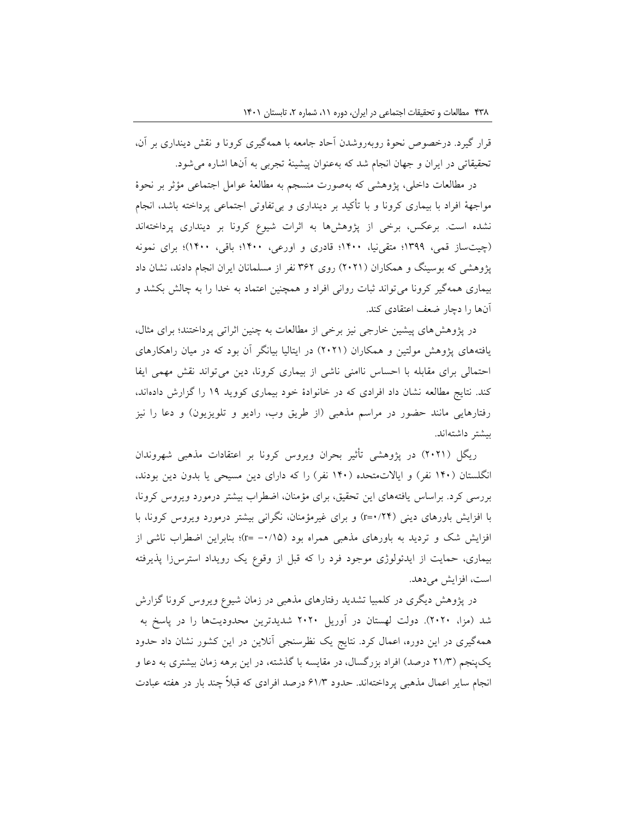قرار گیرد. درخصوص نحوۀ روبهروشدن آحاد جامعه با همهگیری کرونا و نقش دینداری بر آن، تحقیقاتی در ایران و جهان انجام شد که بهعنوان پیشینۀ تجربی به آنها اشاره میشود.

در مطالعات داخلی، پژوهشی که بهصورت منسجم به مطالعۀ عوامل اجتماعی مؤثر بر نحوۀ مواجهۀ افراد با بیماری کرونا و با تأکید بر دینداری و بیتفاوتی اجتماعی پرداخته باشد، انجام نشده است. برعکس، برخی از پژوهشها به اثرات شیوع کرونا بر دینداری پرداختهاند )چیتساز قمی، 1399؛ متقینیا، 1400؛ قادری و اورعی، 1400؛ باقی، 1400(؛ برای نمونه پژوهشی که بوسینگ و همکاران (۲۰۲۱) روی ۳۶۲ نفر از مسلمانان ایران انجام دادند، نشان داد بیماری همهگیر کرونا میتواند ثبات روانی افراد و همچنین اعتماد به خدا را به چالش بکشد و آنها را دچار ضعف اعتقادی کند.

در پژوهشهای پیشین خارجی نیز برخی از مطالعات به چنین اثراتی پرداختند؛ برای مثال، یافتههای پژوهش مولتین و همکاران )2021( در ایتالیا بیانگر آن بود که در میان راهکارهای احتمالی برای مقابله با احساس ناامنی ناشی از بیماری کرونا، دین میتواند نقش مهمی ایفا کند. نتایج مطالعه نشان داد افرادی که در خانوادۀ خود بیماری کووید 19 را گزارش دادهاند، رفتارهایی مانند حضور در مراسم مذهبی (از طریق وب، رادیو و تلویزیون) و دعا را نیز بیشتر داشتهاند.

ریگل )2021( در پژوهشی تأثیر بحران ویروس کرونا بر اعتقادات مذهبی شهروندان انگلستان (۱۴۰ نفر) و ایالات متحده (۱۴۰ نفر) را که دارای دین مسیحی یا بدون دین بودند، بررسی کرد. براساس یافتههای این تحقیق، برای مؤمنان، اضطراب بیشتر درمورد ویروس کرونا، با افزایش باورهای دینی )0/24=r )و برای غیرمؤمنان، نگرانی بیشتر درمورد ویروس کرونا، با افزایش شک و تردید به باورهای مذهبی همراه بود )-0/15 =r)؛ بنابراین اضطراب ناشی از بیماری، حمایت از ایدئولوژی موجود فرد را که قبل از وقوع یک رویداد استرسزا پذیرفته است، افزایش میدهد.

در پژوهش دیگری در کلمبیا تشدید رفتارهای مذهبی در زمان شیوع ویروس کرونا گزارش شد )مزا، 2020(. دولت لهستان در آوریل 2020 شدیدترین محدودیتها را در پاسخ به همهگیری در این دوره، اعمال کرد. نتایج یک نظرسنجی آنالین در این کشور نشان داد حدود یکپنجم )21/3 درصد( افراد بزرگسال، در مقایسه با گذشته، در این برهه زمان بیشتری به دعا و انجام سایر اعمال مذهبی پرداختهاند. حدود 61/3 درصد افرادی که قبالً چند بار در هفته عبادت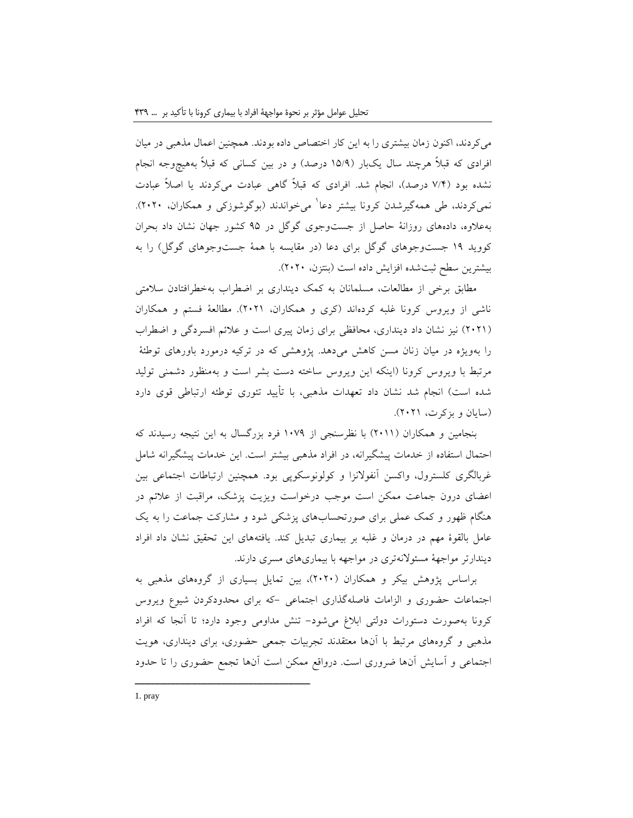میکردند، اکنون زمان بیشتری را به این کار اختصاص داده بودند. همچنین اعمال مذهبی در میان افرادی که قبالًا هرچند سال یکبار (۱۵/۹ درصد) و در بین کسانی که قبلاً بههیچوجه انجام نشده بود (۷/۴ درصد)، انجام شد. افرادی که قبلاً گاهی عبادت می کردند یا اصلاً عبادت نمیکردند، طی همهگیرشدن کرونا بیشتر دعا<sup>۱</sup> میخواندند (بوگوشوزکی و همکاران، ۲۰۲۰). بهعالوه، دادههای روزانۀ حاصل از جستوجوی گوگل در 95 کشور جهان نشان داد بحران کووید 19 جستوجوهای گوگل برای دعا )در مقایسه با همۀ جستوجوهای گوگل( را به بیشترین سطح ثبتشده افزایش داده است )بنتزن، 2020(.

مطابق برخی از مطالعات، مسلمانان به کمک دینداری بر اضطراب بهخطرافتادن سالمتی ناشی از ویروس کرونا غلبه کردهاند )کری و همکاران، 2021(. مطالعۀ فستم و همکاران )2021( نیز نشان داد دینداری، محافظی برای زمان پیری است و عالئم افسردگی و اضطراب را بهویژه در میان زنان مسن کاهش میدهد. پژوهشی که در ترکیه درمورد باورهای توطئۀ مرتبط با ویروس کرونا )اینکه این ویروس ساخته دست بشر است و بهمنظور دشمنی تولید شده است) انجام شد نشان داد تعهدات مذهبی، با تأیید تئوری توطئه ارتباطی قوی دارد )سایان و بزکرت، 2021(.

بنجامین و همکاران )2011( با نظرسنجی از 1079 فرد بزرگسال به این نتیجه رسیدند که احتمال استفاده از خدمات پیشگیرانه، در افراد مذهبی بیشتر است. این خدمات پیشگیرانه شامل غربالگری کلسترول، واکسن آنفوالنزا و کولونوسکوپی بود. همچنین ارتباطات اجتماعی بین اعضای درون جماعت ممکن است موجب درخواست ویزیت پزشک، مراقبت از عالئم در هنگام ظهور و کمک عملی برای صورتحسابهای پزشکی شود و مشارکت جماعت را به یک عامل بالقوۀ مهم در درمان و غلبه بر بیماری تبدیل کند. یافتههای این تحقیق نشان داد افراد دیندارتر مواجهۀ مسئوالنهتری در مواجهه با بیماریهای مسری دارند.

براساس پژوهش بیکر و همکاران )2020(، بین تمایل بسیاری از گروههای مذهبی به اجتماعات حضوری و الزامات فاصلهگذاری اجتماعی -که برای محدودکردن شیوع ویروس کرونا بهصورت دستورات دولتی ابالغ میشود- تنش مداومی وجود دارد؛ تا آنجا که افراد مذهبی و گروههای مرتبط با آنها معتقدند تجربیات جمعی حضوری، برای دینداری، هویت اجتماعی و آسایش آنها ضروری است. درواقع ممکن است آنها تجمع حضوری را تا حدود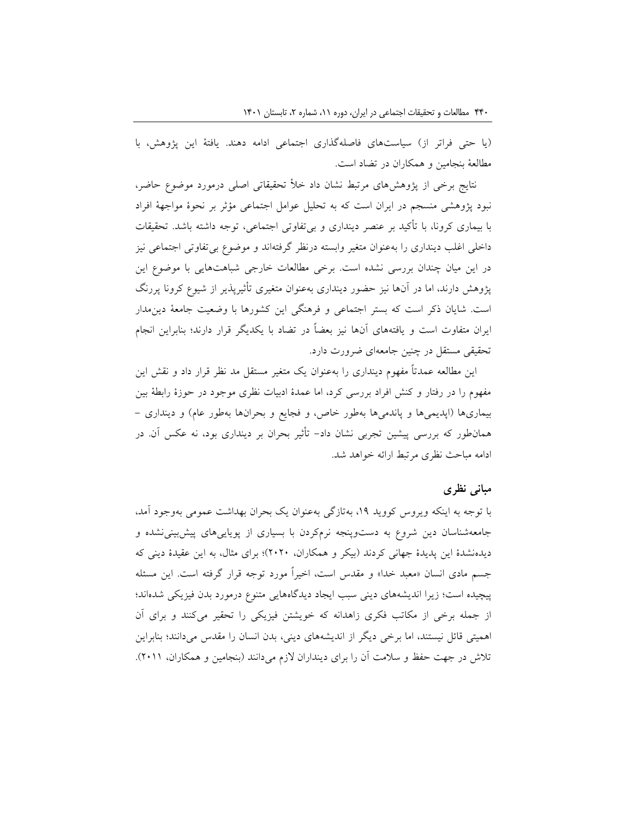)یا حتی فراتر از( سیاستهای فاصلهگذاری اجتماعی ادامه دهند. یافتۀ این پژوهش، با مطالعۀ بنجامین و همکاران در تضاد است.

نتایج برخی از پژوهشهای مرتبط نشان داد خأل تحقیقاتی اصلی درمورد موضوع حاضر، نبود پژوهشی منسجم در ایران است که به تحلیل عوامل اجتماعی مؤثر بر نحوۀ مواجهۀ افراد با بیماری کرونا، با تأکید بر عنصر دینداری و بیتفاوتی اجتماعی، توجه داشته باشد. تحقیقات داخلی اغلب دینداری را بهعنوان متغیر وابسته درنظر گرفتهاند و موضوع بیتفاوتی اجتماعی نیز در این میان چندان بررسی نشده است. برخی مطالعات خارجی شباهتهایی با موضوع این پژوهش دارند، اما در آنها نیز حضور دینداری بهعنوان متغیری تأثیرپذیر از شیوع کرونا پررنگ است. شایان ذکر است که بستر اجتماعی و فرهنگی این کشورها با وضعیت جامعۀ دینمدار ایران متفاوت است و یافتههای آنها نیز بعضاً در تضاد با یکدیگر قرار دارند؛ بنابراین انجام تحقیقی مستقل در چنین جامعهای ضرورت دارد.

این مطالعه عمدتاً مفهوم دینداری را بهعنوان یک متغیر مستقل مد نظر قرار داد و نقش این مفهوم را در رفتار و کنش افراد بررسی کرد، اما عمدۀ ادبیات نظری موجود در حوزۀ رابطۀ بین بیماریها (اپدیمیها و پاندمیها بهطور خاص، و فجایع و بحرانها بهطور عام) و دینداری -همانطور که بررسی پیشین تجربی نشان داد- تأثیر بحران بر دینداری بود، نه عکس آن. در ادامه مباحث نظری مرتبط ارائه خواهد شد.

### **مبانی نظری**

با توجه به اینکه ویروس کووید ،19 بهتازگی بهعنوان یک بحران بهداشت عمومی بهوجود آمد، جامعهشناسان دین شروع به دستوپنجه نرمکردن با بسیاری از پویاییهای پیشبینینشده و دیدهنشدۀ این پدیدۀ جهانی کردند )بیکر و همکاران، 2020(؛ برای مثال، به این عقیدۀ دینی که جسم مادی انسان »معبد خدا« و مقدس است، اخیراً مورد توجه قرار گرفته است. این مسئله پیچیده است؛ زیرا اندیشههای دینی سبب ایجاد دیدگاههایی متنوع درمورد بدن فیزیکی شدهاند؛ از جمله برخی از مکاتب فکری زاهدانه که خویشتن فیزیکی را تحقیر میکنند و برای آن اهمیتی قائل نیستند، اما برخی دیگر از اندیشههای دینی، بدن انسان را مقدس میدانند؛ بنابراین تالش در جهت حفظ و سالمت آن را برای دینداران الزم میدانند )بنجامین و همکاران، 2011(.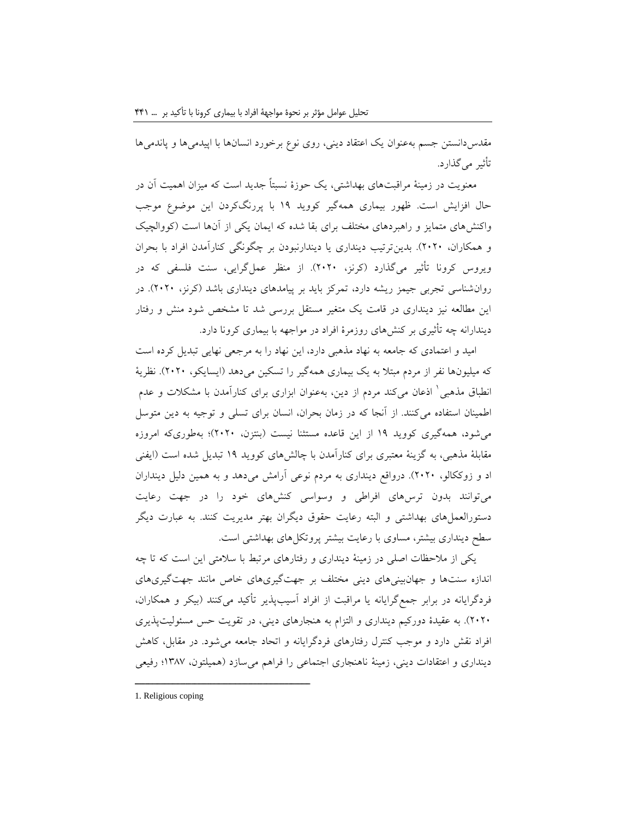مقدسدانستن جسم بهعنوان یک اعتقاد دینی، روی نوع برخورد انسانها با اپیدمیها و پاندمیها تأثیر میگذارد.

معنویت در زمینۀ مراقبتهای بهداشتی، یک حوزۀ نسبتاً جدید است که میزان اهمیت آن در حال افزایش است. ظهور بیماری همهگیر کووید 19 با پررنگکردن این موضوع موجب واکنشهای متمایز و راهبردهای مختلف برای بقا شده که ایمان یکی از آنها است )کووالچیک و همکاران، 2020(. بدینترتیب دینداری یا دیندارنبودن بر چگونگی کنارآمدن افراد با بحران ویروس کرونا تأثیر میگذارد )کرنز، 2020(. از منظر عملگرایی، سنت فلسفی که در روانشناسی تجربی جیمز ریشه دارد، تمرکز باید بر پیامدهای دینداری باشد )کرنز، 2020(. در این مطالعه نیز دینداری در قامت یک متغیر مستقل بررسی شد تا مشخص شود منش و رفتار دیندارانه چه تأثیری بر کنشهای روزمرۀ افراد در مواجهه با بیماری کرونا دارد.

امید و اعتمادی که جامعه به نهاد مذهبی دارد، این نهاد را به مرجعی نهایی تبدیل کرده است که میلیونها نفر از مردم مبتلا به یک بیماری همهگیر را تسکین می دهد (ایسایکو، ۲۰۲۰). نظریۀ نطباق مذهبی ٰ اذعان میکند مردم از دین، بهعنوان ابزاری برای کنارآمدن با مشکلات و عدم اطمینان استفاده میکنند. از آنجا که در زمان بحران، انسان برای تسلی و توجیه به دین متوسل میشود، همهگیری کووید 19 از این قاعده مستثنا نیست )بنتزن، 2020(؛ بهطوریکه امروزه مقابلۀ مذهبی، به گزینۀ معتبری برای کنارآمدن با چالشهای کووید 19 تبدیل شده است )ایفنی اد و زوککالو، 2020(. درواقع دینداری به مردم نوعی آرامش میدهد و به همین دلیل دینداران میتوانند بدون ترسهای افراطی و وسواسی کنشهای خود را در جهت رعایت دستورالعملهای بهداشتی و البته رعایت حقوق دیگران بهتر مدیریت کنند. به عبارت دیگر سطح دینداری بیشتر، مساوی با رعایت بیشتر پروتکلهای بهداشتی است.

یکی از مالحظات اصلی در زمینۀ دینداری و رفتارهای مرتبط با سالمتی این است که تا چه اندازه سنتها و جهانبینیهای دینی مختلف بر جهتگیریهای خاص مانند جهتگیریهای فردگرایانه در برابر جمعگرایانه یا مراقبت از افراد آسیبپذیر تأکید میکنند )بیکر و همکاران، 2020(. به عقیدۀ دورکیم دینداری و التزام به هنجارهای دینی، در تقویت حس مسئولیتپذیری افراد نقش دارد و موجب کنترل رفتارهای فردگرایانه و اتحاد جامعه میشود. در مقابل، کاهش دینداری و اعتقادات دینی، زمینۀ ناهنجاری اجتماعی را فراهم میسازد )همیلتون، 1387؛ رفیعی

<sup>1.</sup> Religious coping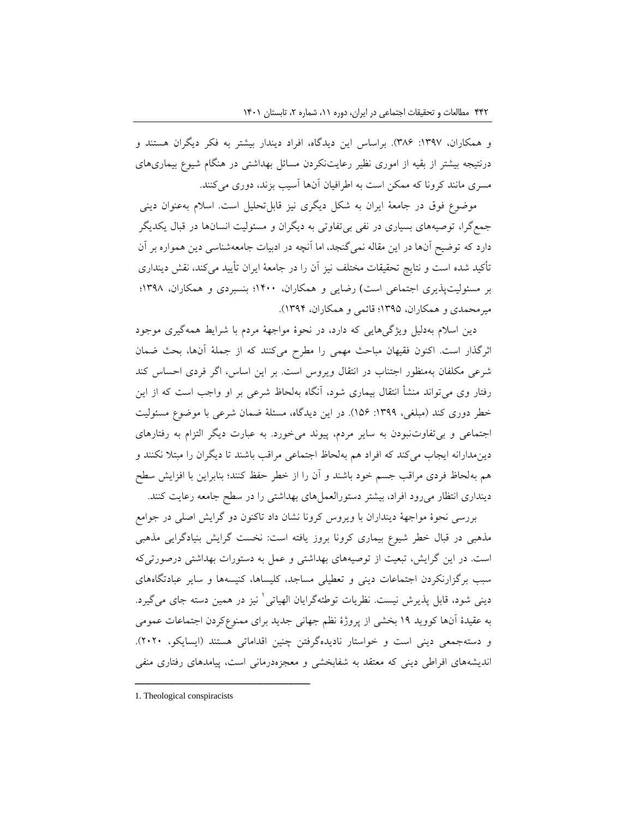و همکاران، :1397 386(. براساس این دیدگاه، افراد دیندار بیشتر به فکر دیگران هستند و درنتیجه بیشتر از بقیه از اموری نظیر رعایتنکردن مسائل بهداشتی در هنگام شیوع بیماریهای مسری مانند کرونا که ممکن است به اطرافیان آنها آسیب بزند، دوری میکنند.

موضوع فوق در جامعۀ ایران به شکل دیگری نیز قابلتحلیل است. اسالم بهعنوان دینی جمعگرا، توصیههای بسیاری در نفی بیتفاوتی به دیگران و مسئولیت انسانها در قبال یکدیگر دارد که توضیح آنها در این مقاله نمیگنجد، اما آنچه در ادبیات جامعهشناسی دین همواره بر آن تأکید شده است و نتایج تحقیقات مختلف نیز آن را در جامعۀ ایران تأیید میکند، نقش دینداری بر مسئولیتپذیری اجتماعی است) رضایی و همکاران، 1400؛ بنسبردی و همکاران، 1398؛ میرمحمدی و همکاران، 1395؛ قائمی و همکاران، 1394(.

دین اسالم بهدلیل ویژگیهایی که دارد، در نحوۀ مواجهۀ مردم با شرایط همهگیری موجود اثرگذار است. اکنون فقیهان مباحث مهمی را مطرح میکنند که از جملۀ آنها، بحث ضمان شرعی مکلفان بهمنظور اجتناب در انتقال ویروس است. بر این اساس، اگر فردی احساس کند رفتار وی میتواند منشأ انتقال بیماری شود، آنگاه بهلحاظ شرعی بر او واجب است که از این خطر دوری کند (مبلغی، ۱۳۹۹: ۱۵۶). در این دیدگاه، مسئلۀ ضمان شرعی با موضوع مسئولیت اجتماعی و بیتفاوتنبودن به سایر مردم، پیوند میخورد. به عبارت دیگر التزام به رفتارهای دینمدارانه ایجاب میکند که افراد هم بهلحاظ اجتماعی مراقب باشند تا دیگران را مبتال نکنند و هم بهلحاظ فردی مراقب جسم خود باشند و آن را از خطر حفظ کنند؛ بنابراین با افزایش سطح دینداری انتظار میرود افراد، بیشتر دستورالعملهای بهداشتی را در سطح جامعه رعایت کنند.

بررسی نحوۀ مواجهۀ دینداران با ویروس کرونا نشان داد تاکنون دو گرایش اصلی در جوامع مذهبی در قبال خطر شیوع بیماری کرونا بروز یافته است: نخست گرایش بنیادگرایی مذهبی است. در این گرایش، تبعیت از توصیههای بهداشتی و عمل به دستورات بهداشتی درصورتیکه سبب برگزارنکردن اجتماعات دینی و تعطیلی مساجد، کلیساها، کنیسهها و سایر عبادتگاههای دینی شود، قابل پذیرش نیست. نظریات توطئهگرایان الهیاتی<sup>۱</sup> نیز در همین دسته جای میگیرد. به عقیدۀ آنها کووید 19 بخشی از پروژۀ نظم جهانی جدید برای ممنوعکردن اجتماعات عمومی و دستهجمعی دینی است و خواستار نادیدهگرفتن چنین اقداماتی هستند (ایسایکو، ۲۰۲۰). اندیشههای افراطی دینی که معتقد به شفابخشی و معجزهدرمانی است، پیامدهای رفتاری منفی

<sup>1.</sup> Theological conspiracists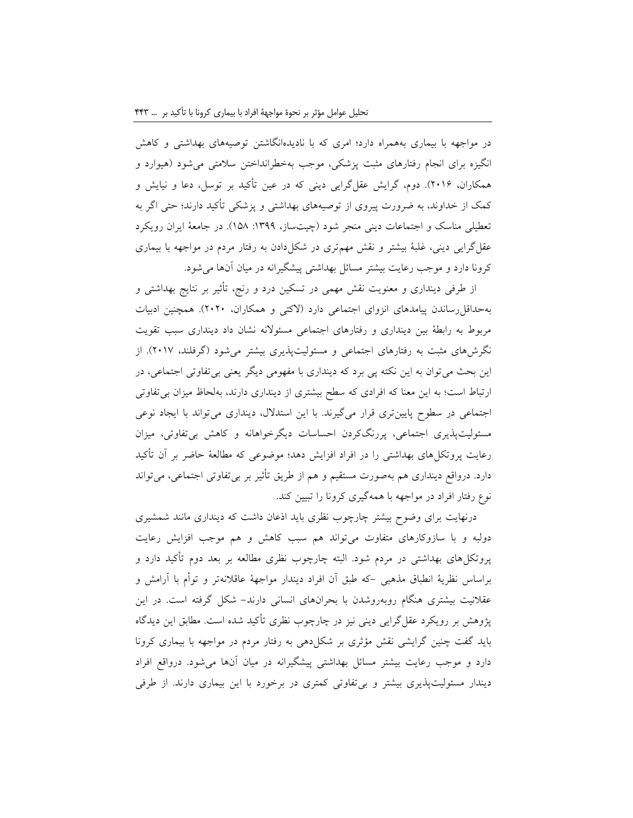در مواجهه با بیماری بههمراه دارد؛ امری که با نادیدهانگاشتن توصیههای بهداشتی و کاهش انگیزه برای انجام رفتارهای مثبت پزشکی، موجب بهخطرانداختن سالمتی میشود )هیوارد و همکاران، 2016(. دوم، گرایش عقلگرایی دینی که در عین تأکید بر توسل، دعا و نیایش و کمک از خداوند، به ضرورت پیروی از توصیههای بهداشتی و پزشکی تأکید دارند؛ حتی اگر به تعطیلی مناسک و اجتماعات دینی منجر شود (چیتساز، ١٣٩٩: ١۵٨). در جامعۀ ایران رویکرد عقلگرایی دینی، غلبۀ بیشتر و نقش مهمتری در شکلدادن به رفتار مردم در مواجهه با بیماری کرونا دارد و موجب رعایت بیشتر مسائل بهداشتی پیشگیرانه در میان آنها میشود.

از طرفی دینداری و معنویت نقش مهمی در تسکین درد و رنج، تأثیر بر نتایج بهداشتی و بهحداقلرساندن پیامدهای انزوای اجتماعی دارد )الکتی و همکاران، 2020(. همچنین ادبیات مربوط به رابطۀ بین دینداری و رفتارهای اجتماعی مسئوالنه نشان داد دینداری سبب تقویت نگرشهای مثبت به رفتارهای اجتماعی و مسئولیتپذیری بیشتر میشود )گرفلند، 2017(. از این بحث میتوان به این نکته پی برد که دینداری با مفهومی دیگر یعنی بیتفاوتی اجتماعی، در ارتباط است؛ به این معنا که افرادی که سطح بیشتری از دینداری دارند، بهلحاظ میزان بیتفاوتی اجتماعی در سطوح پایینتری قرار میگیرند. با این استدالل، دینداری میتواند با ایجاد نوعی مسئولیتپذیری اجتماعی، پررنگکردن احساسات دیگرخواهانه و کاهش بیتفاوتی، میزان رعایت پروتکلهای بهداشتی را در افراد افزایش دهد؛ موضوعی که مطالعۀ حاضر بر آن تأکید دارد. درواقع دینداری هم بهصورت مستقیم و هم از طریق تأثیر بر بیتفاوتی اجتماعی، میتواند نوع رفتار افراد در مواجهه با همهگیری کرونا را تبیین کند.

درنهایت برای وضوح بیشتر چارچوب نظری باید اذعان داشت که دینداری مانند شمشیری دولبه و با سازوکارهای متفاوت میتواند هم سبب کاهش و هم موجب افزایش رعایت پروتکلهای بهداشتی در مردم شود. البته چارچوب نظری مطالعه بر بعد دوم تأکید دارد و براساس نظریۀ انطباق مذهبی -که طبق آن افراد دیندار مواجهۀ عاقالنهتر و توأم با آرامش و عقالنیت بیشتری هنگام روبهروشدن با بحرانهای انسانی دارند- شکل گرفته است. در این پژوهش بر رویکرد عقلگرایی دینی نیز در چارچوب نظری تأکید شده است. مطابق این دیدگاه باید گفت چنین گرایشی نقش مؤثری بر شکلدهی به رفتار مردم در مواجهه با بیماری کرونا دارد و موجب رعایت بیشتر مسائل بهداشتی پیشگیرانه در میان آنها میشود. درواقع افراد دیندار مسئولیتپذیری بیشتر و بیتفاوتی کمتری در برخورد با این بیماری دارند. از طرفی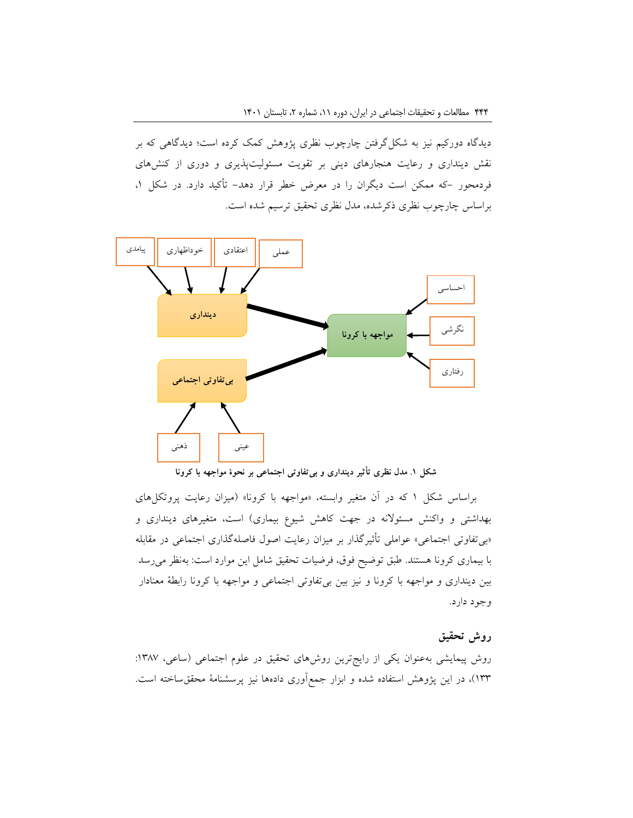دیدگاه دورکیم نیز به شکلگرفتن چارچوب نظری پژوهش کمک کرده است؛ دیدگاهی که بر نقش دینداری و رعایت هنجارهای دینی بر تقویت مسئولیتپذیری و دوری از کنشهای فردمحور -که ممکن است دیگران را در معرض خطر قرار دهد- تأکید دارد. در شکل ،1 براساس چارچوب نظری ذکرشده، مدل نظری تحقیق ترسیم شده است.



**شکل .1 مدل نظری تأثیر دینداری و بیتفاوتی اجتماعی بر نحوۀ مواجهه با کرونا**

براساس شکل ۱ که در آن متغیر وابسته، «مواجهه با کرونا» (میزان رعایت پروتکلهای بهداشتی و واکنش مسئولانه در جهت کاهش شیوع بیماری) است، متغیرهای دینداری و »بیتفاوتی اجتماعی« عواملی تأثیرگذار بر میزان رعایت اصول فاصلهگذاری اجتماعی در مقابله با بیماری کرونا هستند. طبق توضیح فوق، فرضیات تحقیق شامل این موارد است: بهنظر میرسد بین دینداری و مواجهه با کرونا و نیز بین بیتفاوتی اجتماعی و مواجهه با کرونا رابطۀ معنادار وجود دارد.

## **روش تحقیق**

روش پیمایشی بهعنوان یکی از رایجترین روشهای تحقیق در علوم اجتماعی (ساعی، ۱۳۸۷: 133(، در این پژوهش استفاده شده و ابزار جمعآوری دادهها نیز پرسشنامۀ محققساخته است.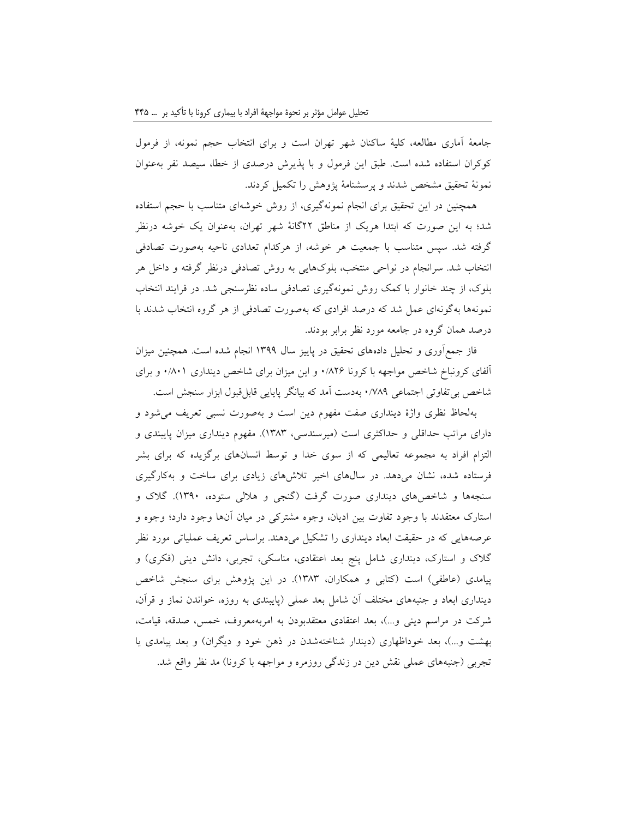جامعۀ آماری مطالعه، کلیۀ ساکنان شهر تهران است و برای انتخاب حجم نمونه، از فرمول کوکران استفاده شده است. طبق این فرمول و با پذیرش درصدی از خطا، سیصد نفر بهعنوان نمونۀ تحقیق مشخص شدند و پرسشنامۀ پژوهش را تکمیل کردند.

همچنین در این تحقیق برای انجام نمونهگیری، از روش خوشهای متناسب با حجم استفاده شد؛ به این صورت که ابتدا هریک از مناطق 22گانۀ شهر تهران، بهعنوان یک خوشه درنظر گرفته شد. سپس متناسب با جمعیت هر خوشه، از هرکدام تعدادی ناحیه بهصورت تصادفی انتخاب شد. سرانجام در نواحی منتخب، بلوکهایی به روش تصادفی درنظر گرفته و داخل هر بلوک، از چند خانوار با کمک روش نمونهگیری تصادفی ساده نظرسنجی شد. در فرایند انتخاب نمونهها بهگونهای عمل شد که درصد افرادی که بهصورت تصادفی از هر گروه انتخاب شدند با درصد همان گروه در جامعه مورد نظر برابر بودند.

فاز جمعآوری و تحلیل دادههای تحقیق در پاییز سال 1399 انجام شده است. همچنین میزان آلفای کرونباخ شاخص مواجهه با کرونا 0/826 و این میزان برای شاخص دینداری 0/801 و برای شاخص بیتفاوتی اجتماعی 0/789 بهدست آمد که بیانگر پایایی قابلقبول ابزار سنجش است.

بهلحاظ نظری واژۀ دینداری صفت مفهوم دین است و بهصورت نسبی تعریف میشود و دارای مراتب حداقلی و حداکثری است (میرسندسی، ۱۳۸۳). مفهوم دینداری میزان پایبندی و التزام افراد به مجموعه تعالیمی که از سوی خدا و توسط انسانهای برگزیده که برای بشر فرستاده شده، نشان میدهد. در سالهای اخیر تالشهای زیادی برای ساخت و بهکارگیری سنجهها و شاخصهای دینداری صورت گرفت )گنجی و هاللی ستوده، 1390(. گالک و استارک معتقدند با وجود تفاوت بین ادیان، وجوه مشترکی در میان آنها وجود دارد؛ وجوه و عرصههایی که در حقیقت ابعاد دینداری را تشکیل میدهند. براساس تعریف عملیاتی مورد نظر گلاک و استارک، دینداری شامل پنج بعد اعتقادی، مناسکی، تجربی، دانش دینی (فکری) و پیامدی (عاطفی) است (کتابی و همکاران، ۱۳۸۳). در این پژوهش برای سنجش شاخص دینداری ابعاد و جنبههای مختلف آن شامل بعد عملی (پایبندی به روزه، خواندن نماز و قرآن، شرکت در مراسم دینی و...)، بعد اعتقادی معتقدبودن به امربهمعروف، خمس، صدقه، قیامت، بهشت و…)، بعد خوداظهاری (دیندار شناختهشدن در ذهن خود و دیگران) و بعد پیامدی یا تجربی (جنبههای عملی نقش دین در زندگی روزمره و مواجهه با کرونا) مد نظر واقع شد.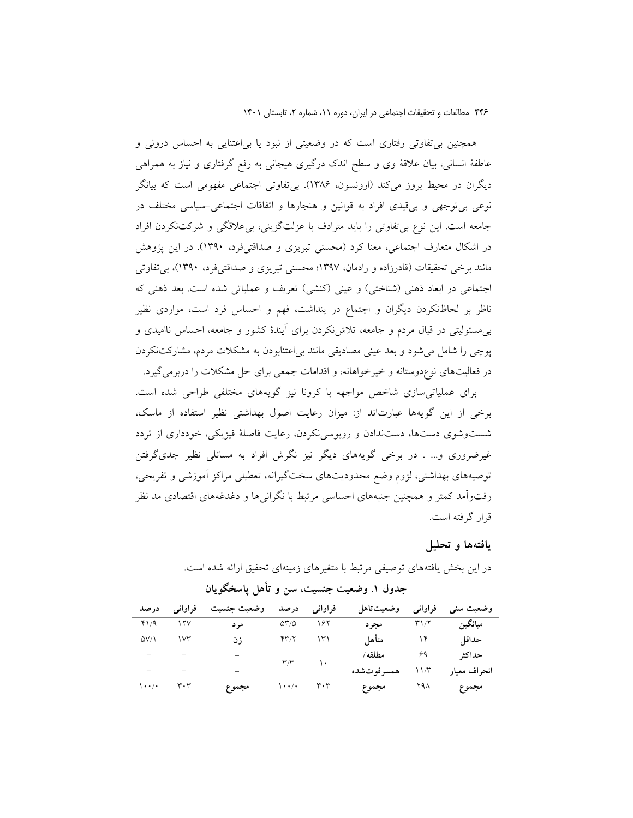همچنین بیتفاوتی رفتاری است که در وضعیتی از نبود یا بیاعتنایی به احساس درونی و عاطفۀ انسانی، بیان عالقۀ وی و سطح اندک درگیری هیجانی به رفع گرفتاری و نیاز به همراهی دیگران در محیط بروز میکند (ارونسون، ۱۳۸۶). بی تفاوتی اجتماعی مفهومی است که بیانگر نوعی بیتوجهی و بیقیدی افراد به قوانین و هنجارها و اتفاقات اجتماعی-سیاسی مختلف در جامعه است. این نوع بیتفاوتی را باید مترادف با عزلتگزینی، بیعالقگی و شرکتنکردن افراد در اشکال متعارف اجتماعی، معنا کرد (محسنی تبریزی و صداقتیفرد، ۱۳۹۰). در این پژوهش مانند برخی تحقیقات )قادرزاده و رادمان، 1397؛ محسنی تبریزی و صداقتیفرد، 1390(، بیتفاوتی اجتماعی در ابعاد ذهنی (شناختی) و عینی (کنشی) تعریف و عملیاتی شده است. بعد ذهنی که ناظر بر لحاظنکردن دیگران و اجتماع در پنداشت، فهم و احساس فرد است، مواردی نظیر بیمسئولیتی در قبال مردم و جامعه، تالشنکردن برای آیندۀ کشور و جامعه، احساس ناامیدی و پوچی را شامل میشود و بعد عینی مصادیقی مانند بیاعتنابودن به مشکالت مردم، مشارکتنکردن در فعالیتهای نوعدوستانه و خیرخواهانه، و اقدامات جمعی برای حل مشکالت را دربرمیگیرد.

برای عملیاتیسازی شاخص مواجهه با کرونا نیز گویههای مختلفی طراحی شده است. برخی از این گویهها عبارتاند از: میزان رعایت اصول بهداشتی نظیر استفاده از ماسک، شستوشوی دستها، دستندادن و روبوسینکردن، رعایت فاصلۀ فیزیکی، خودداری از تردد غیرضروری و... . در برخی گویههای دیگر نیز نگرش افراد به مسائلی نظیر جدیگرفتن توصیههای بهداشتی، لزوم وضع محدودیتهای سختگیرانه، تعطیلی مراکز آموزشی و تفریحی، رفتوآمد کمتر و همچنین جنبههای احساسی مرتبط با نگرانیها و دغدغههای اقتصادی مد نظر قرار گرفته است.

### **یافتهها و تحلیل**

| در صد        | فراوانی | وضعيت جنسيت     | درصد                    | فراواني                       | وضعيت تاهل  | فراواني | وضعیت سنی    |
|--------------|---------|-----------------|-------------------------|-------------------------------|-------------|---------|--------------|
| 41/9         | ۱۲۷     | مر د            | $\Delta r/\Delta$       | ۱۶۲                           | مجر د       | ۳۱/۲    | ميانگين      |
| $\Delta V/1$ | ۱۷۳     | زن              | ۴۳/۲                    | ۱۳۱                           | متأهل       | ۱۴      | حداقل        |
| -            |         |                 | $\mathbf{r}/\mathbf{r}$ | $\lambda$                     | مطلقه /     | ۶۹      | حداكثر       |
|              |         | $\qquad \qquad$ |                         |                               | همسر فوتشده | ۱۱/۳    | انحراف معبار |
| ۰۰/۰۱        | ۳۰۳     | مجموع           | ۰۰/۰۱                   | $\mathbf{r} \cdot \mathbf{r}$ | مجموع       | ۲۹۸     | مجموع        |

**جدول .1 وضعیت جنسیت، سن و تأهل پاسخگویان**

در این بخش یافتههای توصیفی مرتبط با متغیرهای زمینهای تحقیق ارائه شده است.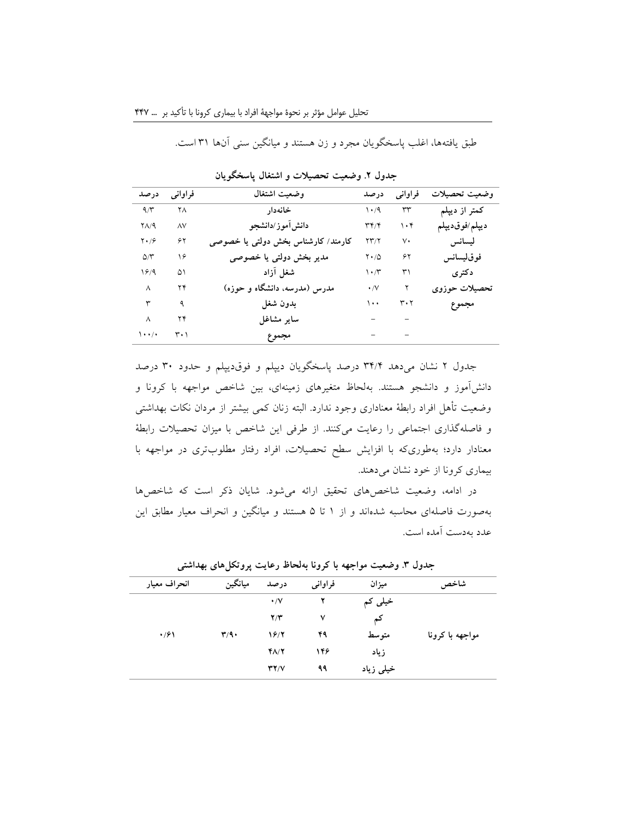طبق یافتهها، اغلب پاسخگویان مجرد و زن هستند و میانگین سنی آنها 31 است.

| درصد          | فراواني      | وضعيت اشتغال                       | درصد                              | فراواني     | وضعيت تحصيلات  |
|---------------|--------------|------------------------------------|-----------------------------------|-------------|----------------|
| 9/7           | ۲۸           | خانەدار                            | $\mathcal{N} \cdot \mathcal{A}$   | ٣٣          | كمتر از ديپلم  |
| $Y\Lambda/9$  | $\wedge\vee$ | دانش[موز/دانشجو                    | $\mathsf{r}\mathsf{r}/\mathsf{r}$ | $\cdot$ ۴   | ديپلم/فوقديپلم |
| $Y \cdot 79$  | ۶۲           | کارمند/ کارشناس بخش دولتی یا خصوصی | $\Upsilon \Upsilon / \Upsilon$    | $\vee\cdot$ | ليسانس         |
| $\Delta/\tau$ | ۱۶           | مدیر بخش دولتی یا خصوصی            | $Y \cdot / Q$                     | ۶۲          | فوقليسانس      |
| 1819          | ۵۱           | شغل آزاد                           | $\mathcal{N} \cdot \mathcal{N}$   | ٣١          | دكترى          |
| ٨             | ۲۴           | مدرس (مدرسه، دانشگاه و حوزه)       | $\cdot$ /V                        | ۲           | تحصيلات حوزوى  |
| ٣             | ٩            | بدون شغل                           | ۱۰۰                               | ۳۰۲         | مجموع          |
| ٨             | ۲۴           | ساير مشاغل                         |                                   |             |                |
| $\cdots$      | ۰۱ ۳         | مجموع                              |                                   |             |                |

**جدول .2 وضعیت تحصیالت و اشتغال پاسخگویان**

جدول 2 نشان میدهد 34/4 درصد پاسخگویان دیپلم و فوقدیپلم و حدود 30 درصد دانشآموز و دانشجو هستند. بهلحاظ متغیرهای زمینهای، بین شاخص مواجهه با کرونا و وضعیت تأهل افراد رابطۀ معناداری وجود ندارد. البته زنان کمی بیشتر از مردان نکات بهداشتی و فاصلهگذاری اجتماعی را رعایت میکنند. از طرفی این شاخص با میزان تحصیالت رابطۀ معنادار دارد؛ بهطوریکه با افزایش سطح تحصیالت، افراد رفتار مطلوبتری در مواجهه با بیماری کرونا از خود نشان میدهند.

در ادامه، وضعیت شاخصهای تحقیق ارائه میشود. شایان ذکر است که شاخصها بهصورت فاصلهای محاسبه شدهاند و از 1 تا 5 هستند و میانگین و انحراف معیار مطابق این عدد بهدست آمده است.

| انحراف معيار | ميانگين                   | درصد                    | فراوانبي | ميزان     | شاخص            |
|--------------|---------------------------|-------------------------|----------|-----------|-----------------|
|              |                           | $\cdot/\vee$            | ۲        | خیلی کم   |                 |
|              |                           | $\mathbf{Y}/\mathbf{Y}$ | ٧        | کم        |                 |
| $\cdot$ /۶۱  | $\mathbf{r}/\mathbf{q}$ . | 16/2                    | ۴۹       | متوسط     | مواجهه با کرونا |
|              |                           | 48/7                    | ۱۴۶      | زياد      |                 |
|              |                           | YY/Y                    | ۹۹       | خیلی زیاد |                 |
|              |                           |                         |          |           |                 |

**جدول .3 وضعیت مواجهه با کرونا بهلحاظ رعایت پروتکلهای بهداشتی**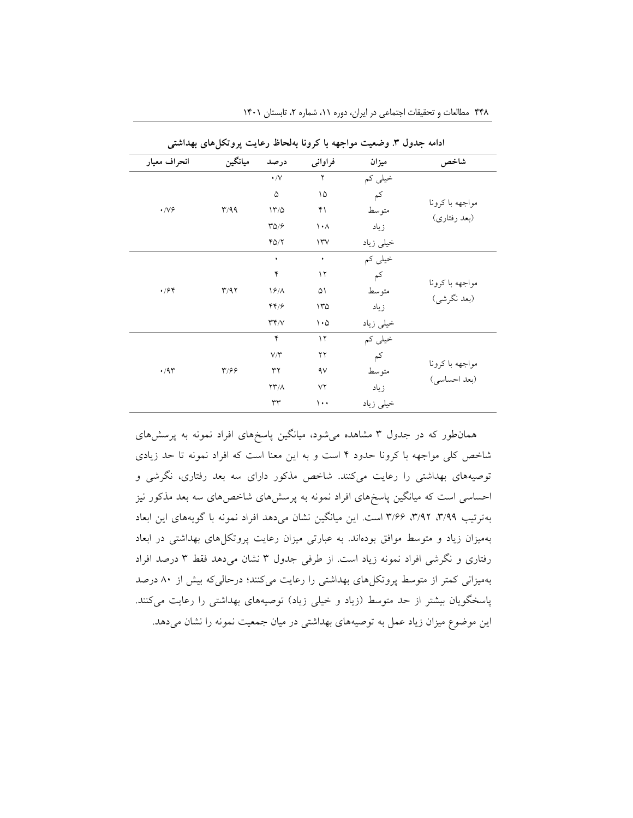| انحراف معيار       | ميانگين                 | درصد                       | فراواني                         | ميزان     | شاخص                          |
|--------------------|-------------------------|----------------------------|---------------------------------|-----------|-------------------------------|
|                    |                         | $\boldsymbol{\cdot}$ /V    | ٢                               | خیلی کم   |                               |
|                    |                         | ۵                          | ۱۵                              | کم        |                               |
| $\cdot$ /V $\circ$ | r/qq                    | 17/0                       | ۴۱                              | متوسط     | مواجهه باكرونا                |
|                    |                         | $\sqrt{\Delta}/\sqrt{2}$   | $\mathcal{N} \cdot \mathcal{N}$ | زياد      | (بعد رفتاري)                  |
|                    |                         | $Y\Delta/Y$                | $\Upsilon$                      | خيلي زياد |                               |
|                    |                         | ٠                          | ٠                               | خیلی کم   |                               |
|                    |                         | ۴                          | $\gamma$                        | کم        |                               |
| $\cdot$ /۶۴        | T/97                    | 19/                        | ۵۱                              | متوسط     | مواجهه باكرونا<br>(بعد نگرشي) |
|                    |                         | 44/5                       | 170                             | زياد      |                               |
|                    |                         | $\Upsilon \Upsilon / V$    | $\cdot \circ$                   | خيلي زياد |                               |
|                    |                         | ۴                          | $\gamma$                        | خیلی کم   |                               |
|                    |                         | $V/\Upsilon$               | ۲۲                              | کم        |                               |
| $\cdot$ /9٣        | $\mathbf{r}/\mathbf{r}$ | ٣٢                         | ٩ν                              | متوسط     | مواجهه باكرونا                |
|                    |                         | $\Upsilon\Upsilon/\Lambda$ | ٧٢                              | زياد      | (بعد احساسی)                  |
|                    |                         | $\tau\tau$                 | ۱۰۰                             | خیلی زیاد |                               |

۴۴۸ مطالعات و تحقیقات اجتماعی در ایران، دوره ۱۱، شماره ۲، تابستان ۱۴۰۱

همانطور که در جدول 3 مشاهده میشود، میانگین پاسخهای افراد نمونه به پرسشهای شاخص کلی مواجهه با کرونا حدود 4 است و به این معنا است که افراد نمونه تا حد زیادی توصیههای بهداشتی را رعایت میکنند. شاخص مذکور دارای سه بعد رفتاری، نگرشی و احساسی است که میانگین پاسخهای افراد نمونه به پرسشهای شاخصهای سه بعد مذکور نیز بهترتیب ،3/99 ،3/92 3/66 است. این میانگین نشان میدهد افراد نمونه با گویههای این ابعاد بهمیزان زیاد و متوسط موافق بودهاند. به عبارتی میزان رعایت پروتکلهای بهداشتی در ابعاد رفتاری و نگرشی افراد نمونه زیاد است. از طرفی جدول 3 نشان میدهد فقط 3 درصد افراد بهمیزانی کمتر از متوسط پروتکلهای بهداشتی را رعایت میکنند؛ درحالیکه بیش از 80 درصد پاسخگویان بیشتر از حد متوسط (زیاد و خیلی زیاد) توصیههای بهداشتی را رعایت میکنند. این موضوع میزان زیاد عمل به توصیههای بهداشتی در میان جمعیت نمونه را نشان میدهد.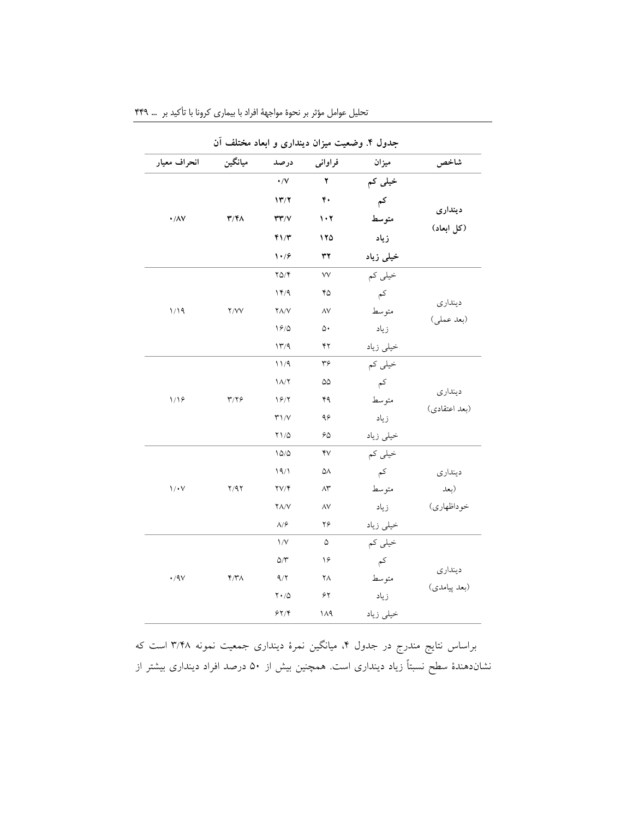|                     |                         |                                     |                               | جدول ۴. وضعیت میزان دینداری و ابعاد مختلف ان |                       |
|---------------------|-------------------------|-------------------------------------|-------------------------------|----------------------------------------------|-----------------------|
| انحراف معيار        | ميانگين                 | درصد                                | فراوانى                       | ميزان                                        | شاخص                  |
|                     |                         | $\boldsymbol{\cdot}$ /V             | $\blacktriangledown$          | خیلی کم                                      |                       |
|                     |                         | 17/7                                | ۴۰                            | کم                                           | ديندارى<br>(كل ابعاد) |
| $\cdot/\lambda\vee$ | $\mathbf{r}/\mathbf{r}$ | $\mathbf{r}\mathbf{r}/\mathbf{v}$   | $\mathbf{1} \cdot \mathbf{Y}$ | متوسط                                        |                       |
|                     |                         | 41/7                                | ۱۲۵                           | زياد                                         |                       |
|                     |                         | $\mathcal{N} \cdot \mathcal{S}$     | ٣٢                            | خیلی زیاد                                    |                       |
|                     |                         | $Y\Delta/Y$                         | ٧V                            | خیلی کم                                      |                       |
|                     |                         | 14/9                                | ۴۵                            | $\zeta$                                      |                       |
| 1/19                | Y/VV                    | $Y\Lambda/V$                        | $\wedge \vee$                 | متوسط                                        | دينداري               |
|                     |                         | $\sqrt{2}/\Delta$                   | ۵۰                            | زياد                                         | (بعد عملي)            |
|                     |                         | 17/9                                | ۴۲                            | خيلي زياد                                    |                       |
|                     |                         | 11/9                                | ۳۶                            | خیلی کم                                      | دينداري               |
|                     | $\mathbf{r}/\mathbf{y}$ | $1/\sqrt{7}$                        | ۵۵                            | کم                                           |                       |
| 1/19                |                         | 19/7                                | ۴۹                            | متوسط                                        |                       |
|                     |                         | $\mathbf{r} \setminus \mathbf{N}$   | ۹۶                            | زياد                                         | (بعد اعتقادي)         |
|                     |                         | $\upgamma \uparrow / \Delta$        | ۶۵                            | خيلي زياد                                    |                       |
|                     |                         | $\Delta/\Delta$                     | ۴٧                            | خیلی کم                                      |                       |
|                     |                         | 19/1                                | ۵۸                            | کم                                           | ديندارى               |
| 1/1                 | Y/9Y                    | $\Upsilon V/\Upsilon$               | $\wedge^{\star}$              | متوسط                                        | (بعد                  |
|                     |                         | 7 A/V                               | ۸۷                            | زياد                                         | خوداظهاري)            |
|                     |                         | $\Lambda/\hat{r}$                   | ۲۶                            | خيلي زياد                                    |                       |
|                     |                         | $\frac{1}{V}$                       | ۵                             | خیلی کم                                      |                       |
|                     |                         | $\Delta/\Upsilon$                   | ۱۶                            | کم                                           |                       |
| $\cdot$ /9 $\vee$   | $Y/Y\wedge$             | 9/7                                 | ۲Λ                            | متوسط                                        | دينداري               |
|                     |                         | $\mathbf{Y}\bullet/\mathbf{\Delta}$ | ۶۲                            | زياد                                         | (بعد پیامدی)          |
|                     |                         | 57/                                 | ۱۸۹                           | خيلي زياد                                    |                       |

تحلیل عوامل مؤثر بر نحوة مواجهة افراد با بیماری کرونا با تأکید بر ... 449

براساس نتایج مندرج در جدول ،4 میانگین نمرۀ دینداری جمعیت نمونه 3/48 است که نشاندهندۀ سطح نسبتاً زیاد دینداری است. همچنین بیش از 50 درصد افراد دینداری بیشتر از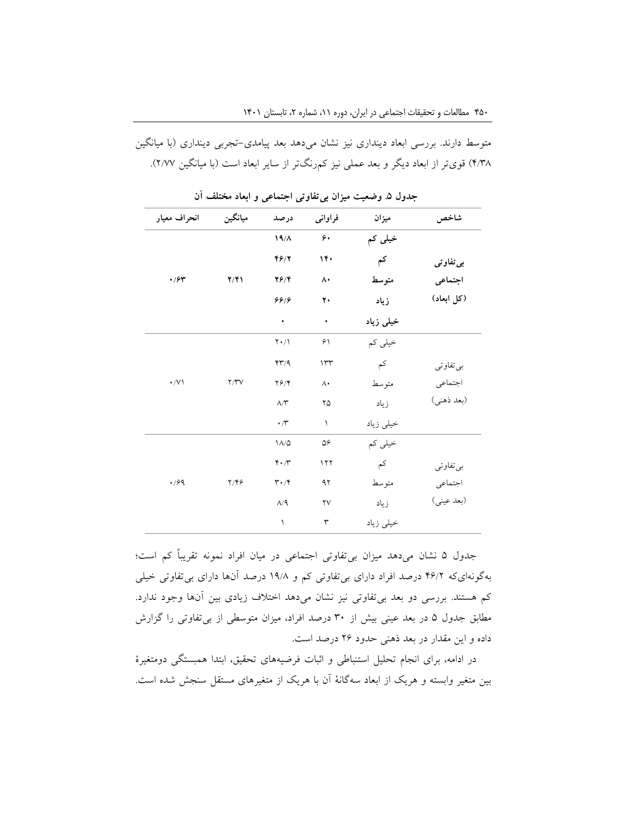متوسط دارند. بررسی ابعاد دینداری نیز نشان میدهد بعد پیامدی-تجربی دینداری )با میانگین ۴/۳۸) قوی تر از ابعاد دیگر و بعد عملی نیز کمرنگتر از سایر ابعاد است (با میانگین ۲/۷۷).

| انحراف معيار | ميانگين          | درصد                          | فراواني                | ميزان     | شاخص       |
|--------------|------------------|-------------------------------|------------------------|-----------|------------|
|              |                  | $19/\Lambda$                  | ۶.                     | خیلی کم   |            |
|              |                  | 46/7                          | 14.                    | کم        | بي تفاو تي |
| $\cdot$ /۶۳  | $Y/\mathfrak{F}$ | $Y$ $9$ / $Y$                 | ۸۰                     | متوسط     | اجتماعي    |
|              |                  | 88/8                          | ۲۰                     | زياد      | (کل ابعاد) |
|              |                  | ٠                             | $\bullet$              | خیلی زیاد |            |
|              |                  | $Y \cdot / \Lambda$           | ۶۱                     | خیلی کم   |            |
|              |                  | YY/9                          | 114                    | کم        | بي تفاوتي  |
| $\cdot/\vee$ | Y/YV             | $Y \frac{6}{7}$               | $\Lambda$              | متوسط     | اجتماعي    |
|              |                  | $\wedge/\Upsilon$             | ۲۵                     | زياد      | (بعد ذهني) |
|              |                  | $\cdot$ / $\mathsf{r}$        | $\lambda$              | خيلى زياد |            |
|              |                  | $\Lambda/\Delta$              | ۵۶                     | خیلی کم   |            |
|              |                  | $\mathbf{r} \cdot \mathbf{r}$ | 117                    | کم        | بي تفاوتي  |
| $\cdot$ /۶۹  | $Y/Y$ ۶          | $\mathbf{r} \cdot \mathbf{r}$ | ۹۲                     | متوسط     | اجتماعي    |
|              |                  | $\Lambda/\mathsf{q}$          | $\mathsf{Y}\mathsf{V}$ | زياد      | (بعد عيني) |
|              |                  | ١                             | ٣                      | خيلي زياد |            |

**جدول .5 وضعیت میزان بیتفاوتی اجتماعی و ابعاد مختلف آن**

جدول 5 نشان میدهد میزان بیتفاوتی اجتماعی در میان افراد نمونه تقریباً کم است؛ بهگونهایکه 46/2 درصد افراد دارای بیتفاوتی کم و 19/8 درصد آنها دارای بیتفاوتی خیلی کم هستند. بررسی دو بعد بیتفاوتی نیز نشان میدهد اختالف زیادی بین آنها وجود ندارد. مطابق جدول 5 در بعد عینی بیش از 30 درصد افراد، میزان متوسطی از بیتفاوتی را گزارش داده و این مقدار در بعد ذهنی حدود 26 درصد است.

در ادامه، برای انجام تحلیل استنباطی و اثبات فرضیههای تحقیق، ابتدا همبستگی دومتغیرۀ بین متغیر وابسته و هریک از ابعاد سهگانۀ آن با هریک از متغیرهای مستقل سنجش شده است.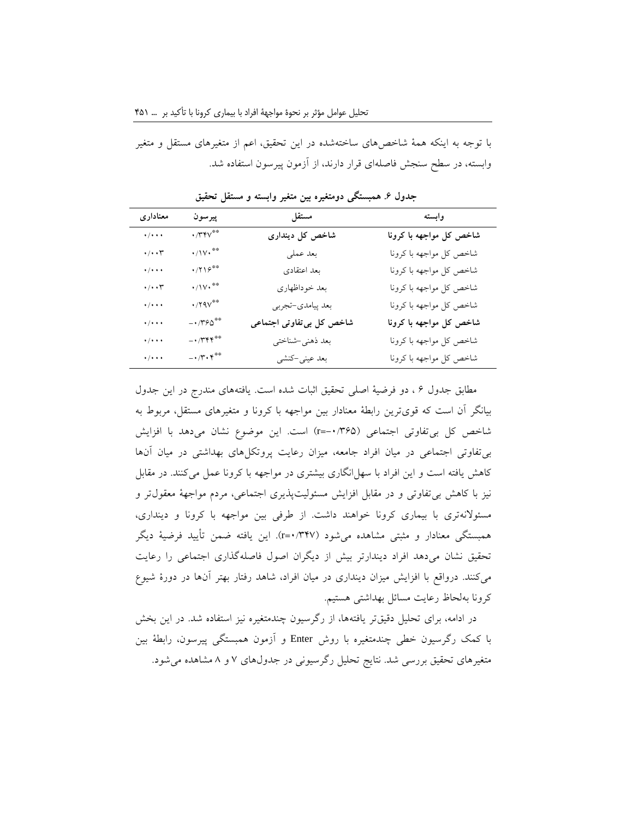با توجه به اینکه همۀ شاخصهای ساختهشده در این تحقیق، اعم از متغیرهای مستقل و متغیر وابسته، در سطح سنجش فاصلهای قرار دارند، از آزمون پیرسون استفاده شد.

| معناداري                                                                        | پيرسون                                               | مستقل                     | وابسته                  |
|---------------------------------------------------------------------------------|------------------------------------------------------|---------------------------|-------------------------|
| $\overline{\cdots}$                                                             | $\cdot$ /۳۴۷**                                       | شاخص کل دینداری           | شاخص کل مواجهه با کرونا |
| $\boldsymbol{\cdot}/\boldsymbol{\cdot}\boldsymbol{\cdot}\boldsymbol{\tau}$      | $\cdot/\mathcal{W}\cdot$ **                          | بعد عملي                  | شاخص كل مواجهه با كرونا |
| $\cdot/\cdot\cdot\cdot$                                                         | $\cdot$ /۲۱۶**                                       | بعد اعتقادى               | شاخص كل مواجهه با كرونا |
| $\boldsymbol{\cdot}/\boldsymbol{\cdot}\boldsymbol{\cdot}\boldsymbol{\curlyvee}$ | $\cdot/\mathcal{W}\cdot$ **                          | بعد خوداظهارى             | شاخص کل مواجهه با کرونا |
| $\cdot/\cdot\cdot\cdot$                                                         | $\cdot$ /۲۹۷**                                       | بعد پيامدي-تجربي          | شاخص كل مواجهه با كرونا |
| $\cdot / \cdot \cdot$                                                           | $- \cdot$ /۳۶۵**                                     | شاخص کل بی تفاوتی اجتماعی | شاخص کل مواجهه با کرونا |
| $\cdot / \cdot \cdot$                                                           | $ \cdot$ /۳۴۴*                                       | بعد ذهني-شناختي           | شاخص كل مواجهه با كرونا |
| $\cdot/\cdot\cdot\cdot$                                                         | $- \cdot / \mathbf{Y} \cdot \mathbf{Y}^{\ast \circ}$ | بعد عینی-کنشی             | شاخص كل مواجهه با كرونا |

**جدول .6 همبستگی دومتغیره بین متغیر وابسته و مستقل تحقیق**

مطابق جدول 6 ، دو فرضیۀ اصلی تحقیق اثبات شده است. یافتههای مندرج در این جدول بیانگر آن است که قویترین رابطۀ معنادار بین مواجهه با کرونا و متغیرهای مستقل، مربوط به شاخص کل بیتفاوتی اجتماعی )-0/365=r )است. این موضوع نشان میدهد با افزایش بیتفاوتی اجتماعی در میان افراد جامعه، میزان رعایت پروتکلهای بهداشتی در میان آنها کاهش یافته است و این افراد با سهل انگاری بیشتری در مواجهه با کرونا عمل میکنند. در مقابل نیز با کاهش بیتفاوتی و در مقابل افزایش مسئولیتپذیری اجتماعی، مردم مواجهۀ معقولتر و مسئوالنهتری با بیماری کرونا خواهند داشت. از طرفی بین مواجهه با کرونا و دینداری، همبستگی معنادار و مثبتی مشاهده میشود )0/347=r). این یافته ضمن تأیید فرضیۀ دیگر تحقیق نشان میدهد افراد دیندارتر بیش از دیگران اصول فاصلهگذاری اجتماعی را رعایت میکنند. درواقع با افزایش میزان دینداری در میان افراد، شاهد رفتار بهتر آنها در دورۀ شیوع کرونا بهلحاظ رعایت مسائل بهداشتی هستیم.

در ادامه، برای تحلیل دقیقتر یافتهها، از رگرسیون چندمتغیره نیز استفاده شد. در این بخش با کمک رگرسیون خطی چندمتغیره با روش Enter و آزمون همبستگی پیرسون، رابطۀ بین متغیرهای تحقیق بررسی شد. نتایج تحلیل رگرسیونی در جدولهای 7 و 8 مشاهده میشود.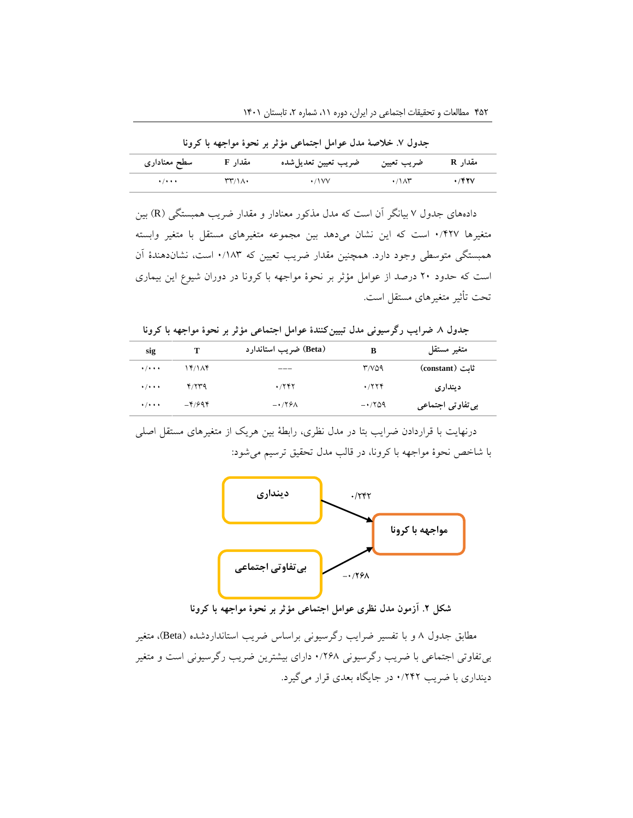**جدول .7 خالصۀ مدل عوامل اجتماعی مؤثر بر نحوۀ مواجهه با کرونا**

| سطح معناداری                | مقدار F | ضريب تعيين تعديل شده | ضريب تعيين                    | مقدار R |
|-----------------------------|---------|----------------------|-------------------------------|---------|
| $\cdot$ / $\cdot$ + $\cdot$ | ۳۳/۱۸۰  | ۰/۱۷۷                | $\cdot$ / $\wedge$ $\uparrow$ | ٬۴۲۷    |

دادههای جدول 7 بیانگر آن است که مدل مذکور معنادار و مقدار ضریب همبستگی )<sup>R</sup> )بین متغیرها 0/427 است که این نشان میدهد بین مجموعه متغیرهای مستقل با متغیر وابسته همبستگی متوسطی وجود دارد. همچنین مقدار ضریب تعیین که 0/183 است، نشاندهندۀ آن است که حدود 20 درصد از عوامل مؤثر بر نحوۀ مواجهه با کرونا در دوران شیوع این بیماری تحت تأثیر متغیرهای مستقل است.

**جدول .8 ضرایب رگرسیونی مدل تبیینکنندۀ عوامل اجتماعی مؤثر بر نحوۀ مواجهه با کرونا**

| sig                         | т        | (Beta) ضريب استاندارد | B             | متغير مستقل       |
|-----------------------------|----------|-----------------------|---------------|-------------------|
| $\cdot$ / $\cdot$ + $\cdot$ | 17/1AY   | ___                   | $T/V\Delta$ 9 | ثانت (constant)   |
| $+ / + + +$                 | Y/YYQ    | .755                  | .7779         | دينداري           |
| $\cdot$ / $\cdot$ + $\cdot$ | $-4/994$ | $-179A$               | $-1709$       | بي تفاوتي اجتماعي |

درنهایت با قراردادن ضرایب بتا در مدل نظری، رابطۀ بین هریک از متغیرهای مستقل اصلی با شاخص نحوۀ مواجهه با کرونا، در قالب مدل تحقیق ترسیم میشود:



**شکل .2 آزمون مدل نظری عوامل اجتماعی مؤثر بر نحوۀ مواجهه با کرونا**

مطابق جدول 8 و با تفسیر ضرایب رگرسیونی براساس ضریب استانداردشده )Beta)، متغیر بیتفاوتی اجتماعی با ضریب رگرسیونی 0/268 دارای بیشترین ضریب رگرسیونی است و متغیر دینداری با ضریب 0/242 در جایگاه بعدی قرار میگیرد.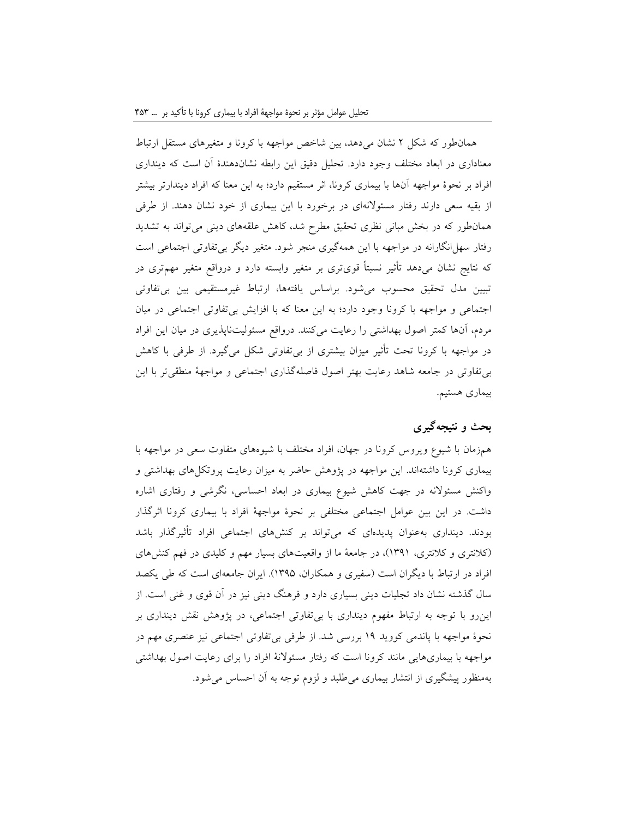همانطور که شکل 2 نشان میدهد، بین شاخص مواجهه با کرونا و متغیرهای مستقل ارتباط معناداری در ابعاد مختلف وجود دارد. تحلیل دقیق این رابطه نشاندهندۀ آن است که دینداری افراد بر نحوۀ مواجهه آنها با بیماری کرونا، اثر مستقیم دارد؛ به این معنا که افراد دیندارتر بیشتر از بقیه سعی دارند رفتار مسئوالنهای در برخورد با این بیماری از خود نشان دهند. از طرفی همانطور که در بخش مبانی نظری تحقیق مطرح شد، کاهش علقههای دینی میتواند به تشدید رفتار سهل انگارانه در مواجهه با این همهگیری منجر شود. متغیر دیگر بی تفاوتی اجتماعی است که نتایج نشان میدهد تأثیر نسبتاً قویتری بر متغیر وابسته دارد و درواقع متغیر مهمتری در تبیین مدل تحقیق محسوب میشود. براساس یافتهها، ارتباط غیرمستقیمی بین بیتفاوتی اجتماعی و مواجهه با کرونا وجود دارد؛ به این معنا که با افزایش بیتفاوتی اجتماعی در میان مردم، آنها کمتر اصول بهداشتی را رعایت میکنند. درواقع مسئولیتناپذیری در میان این افراد در مواجهه با کرونا تحت تأثیر میزان بیشتری از بیتفاوتی شکل میگیرد. از طرفی با کاهش بیتفاوتی در جامعه شاهد رعایت بهتر اصول فاصلهگذاری اجتماعی و مواجهۀ منطقیتر با این بیماری هستیم.

# **بحث و نتیجهگیری**

همزمان با شیوع ویروس کرونا در جهان، افراد مختلف با شیوههای متفاوت سعی در مواجهه با بیماری کرونا داشتهاند. این مواجهه در پژوهش حاضر به میزان رعایت پروتکلهای بهداشتی و واکنش مسئوالنه در جهت کاهش شیوع بیماری در ابعاد احساسی، نگرشی و رفتاری اشاره داشت. در این بین عوامل اجتماعی مختلفی بر نحوۀ مواجهۀ افراد با بیماری کرونا اثرگذار بودند. دینداری بهعنوان پدیدهای که میتواند بر کنشهای اجتماعی افراد تأثیرگذار باشد )کالنتری و کالنتری، 1391(، در جامعۀ ما از واقعیتهای بسیار مهم و کلیدی در فهم کنشهای افراد در ارتباط با دیگران است )سفیری و همکاران، 1395(. ایران جامعهای است که طی یکصد سال گذشته نشان داد تجلیات دینی بسیاری دارد و فرهنگ دینی نیز در آن قوی و غنی است. از اینرو با توجه به ارتباط مفهوم دینداری با بیتفاوتی اجتماعی، در پژوهش نقش دینداری بر نحوۀ مواجهه با پاندمی کووید 19 بررسی شد. از طرفی بیتفاوتی اجتماعی نیز عنصری مهم در مواجهه با بیماریهایی مانند کرونا است که رفتار مسئوالنۀ افراد را برای رعایت اصول بهداشتی بهمنظور پیشگیری از انتشار بیماری میطلبد و لزوم توجه به آن احساس میشود.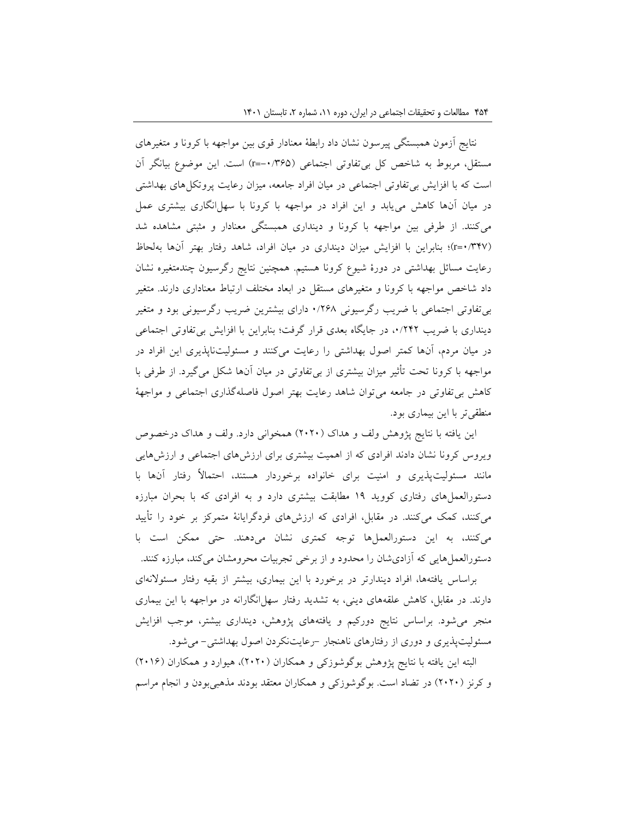نتایج آزمون همبستگی پیرسون نشان داد رابطۀ معنادار قوی بین مواجهه با کرونا و متغیرهای مستقل، مربوط به شاخص کل بیتفاوتی اجتماعی )-0/365=r )است. این موضوع بیانگر آن است که با افزایش بیتفاوتی اجتماعی در میان افراد جامعه، میزان رعایت پروتکلهای بهداشتی در میان آنها کاهش مییابد و این افراد در مواجهه با کرونا با سهلانگاری بیشتری عمل میکنند. از طرفی بین مواجهه با کرونا و دینداری همبستگی معنادار و مثبتی مشاهده شد )0/347=r)؛ بنابراین با افزایش میزان دینداری در میان افراد، شاهد رفتار بهتر آنها بهلحاظ رعایت مسائل بهداشتی در دورۀ شیوع کرونا هستیم. همچنین نتایج رگرسیون چندمتغیره نشان داد شاخص مواجهه با کرونا و متغیرهای مستقل در ابعاد مختلف ارتباط معناداری دارند. متغیر بیتفاوتی اجتماعی با ضریب رگرسیونی 0/268 دارای بیشترین ضریب رگرسیونی بود و متغیر دینداری با ضریب ۰/۲۴۲ در جایگاه بعدی قرار گرفت؛ بنابراین با افزایش بی تفاوتی اجتماعی در میان مردم، آنها کمتر اصول بهداشتی را رعایت میکنند و مسئولیتناپذیری این افراد در مواجهه با کرونا تحت تأثیر میزان بیشتری از بیتفاوتی در میان آنها شکل میگیرد. از طرفی با کاهش بیتفاوتی در جامعه میتوان شاهد رعایت بهتر اصول فاصلهگذاری اجتماعی و مواجهۀ منطقیتر با این بیماری بود.

این یافته با نتایج پژوهش ولف و هداک )2020( همخوانی دارد. ولف و هداک درخصوص ویروس کرونا نشان دادند افرادی که از اهمیت بیشتری برای ارزشهای اجتماعی و ارزشهایی مانند مسئولیتپذیری و امنیت برای خانواده برخوردار هستند، احتماالً رفتار آنها با دستورالعملهای رفتاری کووید 19 مطابقت بیشتری دارد و به افرادی که با بحران مبارزه میکنند، کمک میکنند. در مقابل، افرادی که ارزشهای فردگرایانۀ متمرکز بر خود را تأیید میکنند، به این دستورالعملها توجه کمتری نشان میدهند. حتی ممکن است با دستورالعملهایی که آزادیشان را محدود و از برخی تجربیات محرومشان میکند، مبارزه کنند.

براساس یافتهها، افراد دیندارتر در برخورد با این بیماری، بیشتر از بقیه رفتار مسئوالنهای دارند. در مقابل، کاهش علقههای دینی، به تشدید رفتار سهلانگارانه در مواجهه با این بیماری منجر میشود. براساس نتایج دورکیم و یافتههای پژوهش، دینداری بیشتر، موجب افزایش مسئولیتپذیری و دوری از رفتارهای ناهنجار -رعایتنکردن اصول بهداشتی- میشود.

البته این یافته با نتایج پژوهش بوگوشوزکی و همکاران (۲۰۲۰)، هیوارد و همکاران (۲۰۱۶) و کرنز )2020( در تضاد است. بوگوشوزکی و همکاران معتقد بودند مذهبیبودن و انجام مراسم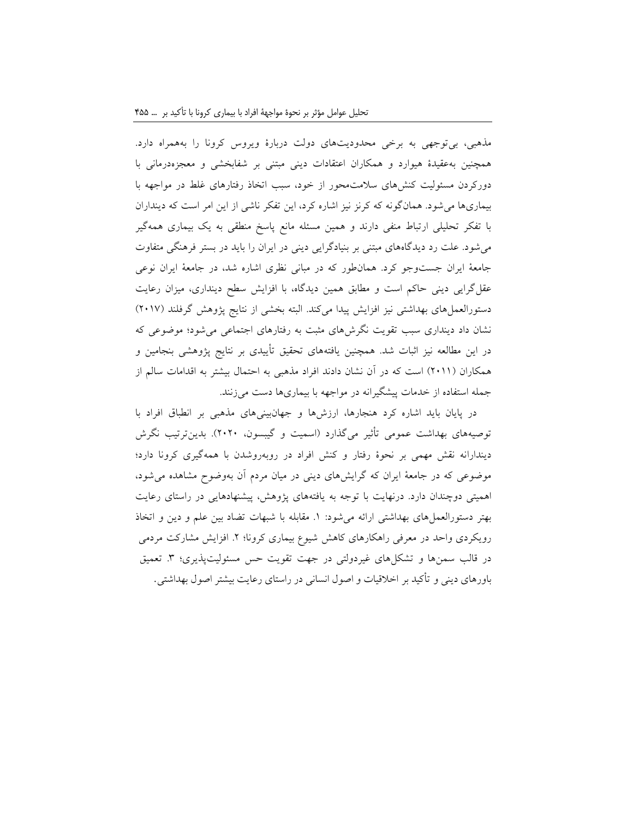مذهبی، بیتوجهی به برخی محدودیتهای دولت دربارۀ ویروس کرونا را بههمراه دارد. همچنین بهعقیدۀ هیوارد و همکاران اعتقادات دینی مبتنی بر شفابخشی و معجزهدرمانی با دورکردن مسئولیت کنشهای سالمتمحور از خود، سبب اتخاذ رفتارهای غلط در مواجهه با بیماریها میشود. همانگونه که کرنز نیز اشاره کرد، این تفکر ناشی از این امر است که دینداران با تفکر تحلیلی ارتباط منفی دارند و همین مسئله مانع پاسخ منطقی به یک بیماری همهگیر میشود. علت رد دیدگاههای مبتنی بر بنیادگرایی دینی در ایران را باید در بستر فرهنگی متفاوت جامعۀ ایران جستوجو کرد. همانطور که در مبانی نظری اشاره شد، در جامعۀ ایران نوعی عقلگرایی دینی حاکم است و مطابق همین دیدگاه، با افزایش سطح دینداری، میزان رعایت دستورالعملهای بهداشتی نیز افزایش پیدا میکند. البته بخشی از نتایج پژوهش گرفلند )2017( نشان داد دینداری سبب تقویت نگرشهای مثبت به رفتارهای اجتماعی میشود؛ موضوعی که در این مطالعه نیز اثبات شد. همچنین یافتههای تحقیق تأییدی بر نتایج پژوهشی بنجامین و همکاران )2011( است که در آن نشان دادند افراد مذهبی به احتمال بیشتر به اقدامات سالم از جمله استفاده از خدمات پیشگیرانه در مواجهه با بیماریها دست میزنند.

در پایان باید اشاره کرد هنجارها، ارزشها و جهانبینیهای مذهبی بر انطباق افراد با توصیههای بهداشت عمومی تأثیر میگذارد (اسمیت و گیبسون، ۲۰۲۰). بدین ترتیب نگرش دیندارانه نقش مهمی بر نحوۀ رفتار و کنش افراد در روبهروشدن با همهگیری کرونا دارد؛ موضوعی که در جامعۀ ایران که گرایشهای دینی در میان مردم آن بهوضوح مشاهده میشود، اهمیتی دوچندان دارد. درنهایت با توجه به یافتههای پژوهش، پیشنهادهایی در راستای رعایت بهتر دستورالعملهای بهداشتی ارائه میشود: .1 مقابله با شبهات تضاد بین علم و دین و اتخاذ رویکردی واحد در معرفی راهکارهای کاهش شیوع بیماری کرونا؛ ۲. افزایش مشارکت مردمی در قالب سمنها و تشکلهای غیردولتی در جهت تقویت حس مسئولیتپذیری؛ ۳. تعمیق باورهای دینی و تأکید بر اخالقیات و اصول انسانی در راستای رعایت بیشتر اصول بهداشتی.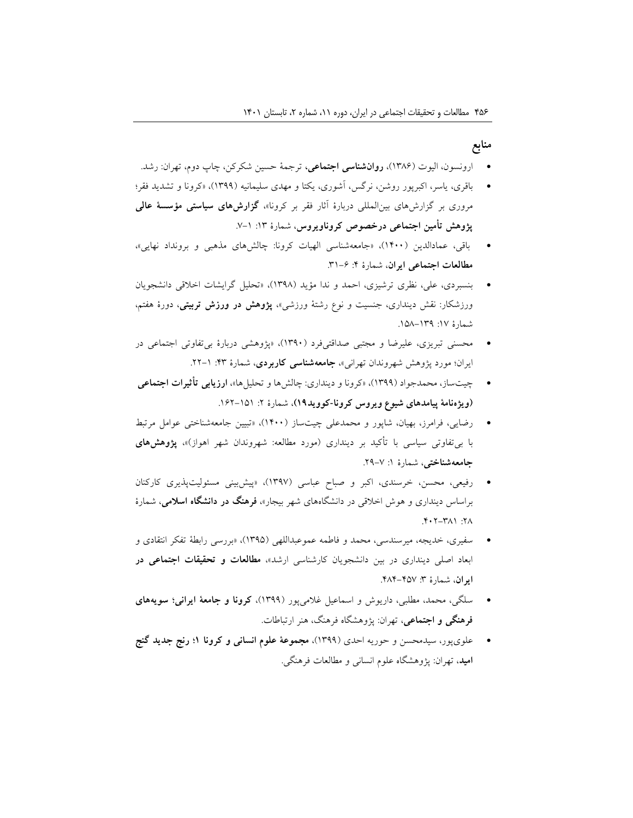#### **منابع**

- ارونسون، الیوت )1386(، **روانشناسی اجتماعی،** ترجمۀ حسین شکرکن، چاپ دوم، تهران: رشد.
- باقری، یاسر، اکبرپور روشن، نرگس، آشوری، یکتا و مهدی سلیمانیه )1399(، »کرونا و تشدید فقر؛ مروری بر گزارشهای بینالمللی دربارۀ آثار فقر بر کرونا«، **گزارشهای سیاستی مؤسسۀ عالی پژوهش تأمین اجتماعی درخصوص کروناویروس**، شمارۀ :13 .7-1
- باقی، عمادالدین )1400(، »جامعهشناسی الهیات کرونا: چالشهای مذهبی و برونداد نهایی«، **مطالعات اجتماعی ایران**، شمارۀ :4 .31-6
- بنسبردی، علی، نظری ترشیزی، احمد و ندا مؤید )1398(، »تحلیل گرایشات اخالقی دانشجویان ورزشکار: نقش دینداری، جنسیت و نوع رشتۀ ورزشی«، **پژوهش در ورزش تربیتی**، دورۀ هفتم، شمارۀ ١٧: ١٣٩-١٥٨.
- محسنی تبریزی، علیرضا و مجتبی صداقتیفرد )1390(، »پژوهشی دربارۀ بیتفاوتی اجتماعی در ایران؛ مورد پژوهش شهروندان تهرانی«، **جامعهشناسی کاربردی**، شمارۀ :43 .22-1
- چیتساز، محمدجواد )1399(، »کرونا و دینداری: چالشها و تحلیلها«، **ارزیابی تأثیرات اجتماعی )ویژهنامۀ پیامدهای شیوع ویروس کرونا-کووید19(**، شمارۀ :2 .162-151
- رضایی، فرامرز، بهیان، شاپور و محمدعلی چیتساز (۱۴۰۰)، «تبیین جامعهشناختی عوامل مرتبط با بی *تفاو*تی سیاسی با تأکید بر دینداری (مورد مطالعه: شهروندان شهر اهواز)»، **پژوهشهای جامعهشناختی**، شمارۀ ۱: ۷–۲۹.
- رفیعی، محسن، خرسندی، اکبر و صباح عباسی (۱۳۹۷)، «پیشبینی مسئولیتپذیری کارکنان براساس دینداری و هوش اخالقی در دانشگاههای شهر بیجار«، **فرهنگ در دانشگاه اسالمی**، شمارۀ  $Y \cdot Y - Y \wedge Y$ :  $Y \wedge Y$
- سفیری، خدیجه، میرسندسی، محمد و فاطمه عموعبداللهی )1395(، »بررسی رابطۀ تفکر انتقادی و ابعاد اصلی دینداری در بین دانشجویان کارشناسی ارشد«، **مطالعات و تحقیقات اجتماعی در ایران،** شمارۀ ۳: ۴۵۷-۴۸۴.
- سلگی، محمد، مطلبی، داریوش و اسماعیل غالمیپور )1399(، **کرونا و جامعۀ ایرانی؛ سویههای فرهنگی و اجتماعی**، تهران: پژوهشگاه فرهنگ، هنر ارتباطات.
- علویپور، سیدمحسن و حوریه احدی )1399(، **مجموعۀ علوم انسانی و کرونا 1؛ رنج جدید گنج امید**، تهران: پژوهشگاه علوم انسانی و مطالعات فرهنگی.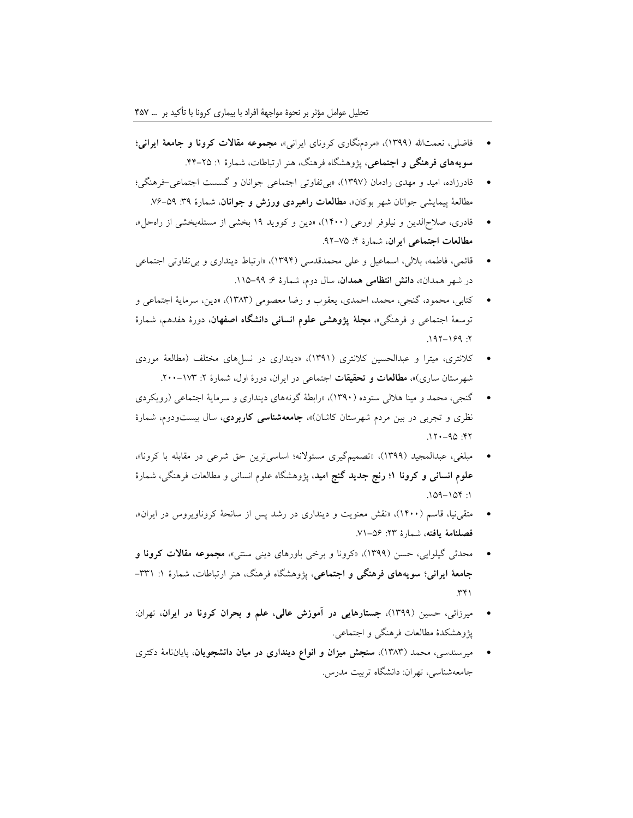- فاضلی، نعمتاهلل )1399(، »مردمنگاری کرونای ایرانی«، **مجموعه مقاالت کرونا و جامعۀ ایرانی؛ سویههای فرهنگی و اجتماعی**، پژوهشگاه فرهنگ، هنر ارتباطات، شمارۀ :1 .44-25
- قادرزاده، امید و مهدی رادمان )1397(، »بیتفاوتی اجتماعی جوانان و گسست اجتماعی-فرهنگی؛ مطالعۀ پیمایشی جوانان شهر بوکان«، **مطالعات راهبردی ورزش و جوانان**، شمارۀ :39 .76-59
- قادری، صالحالدین و نیلوفر اورعی )1400(، »دین و کووید 19 بخشی از مسئلهبخشی از راهحل«، **مطالعات اجتماعی ایران**، شمارۀ :4 .92-75
- قائمی، فاطمه، باللی، اسماعیل و علی محمدقدسی )1394(، »ارتباط دینداری و بیتفاوتی اجتماعی در شهر همدان»، **دانش انتظامی همدان**، سال دوم، شمارۀ ۶: ۹۹–۱۱۵.
- کتابی، محمود، گنجی، محمد، احمدی، یعقوب و رضا معصومی )1383(، »دین، سرمایۀ اجتماعی و توسعۀ اجتماعی و فرهنگی«، **مجلۀ پژوهشی علوم انسانی دانشگاه اصفهان**، دورۀ هفدهم، شمارۀ  $.197 - 199$ :
- کالنتری، میترا و عبدالحسین کالنتری )1391(، »دینداری در نسلهای مختلف )مطالعۀ موردی شهرستان ساری)»**، مطالعات و تحقیقات** اجتماعی در ایران، دورۀ اول، شمارۀ ۲: ۱۷۳-۲۰۰.
- گنجی، محمد و مینا هلالی ستوده (۱۳۹۰)، «رابطۀ گونههای دینداری و سرمایۀ اجتماعی (رویکردی نظری و تجربی در بین مردم شهرستان کاشان(«، **جامعهشناسی کاربردی**، سال بیستودوم، شمارۀ  $17.09 - 11.$
- مبلغی، عبدالمجید (۱۳۹۹)، «تصمیمگیری مسئولانه؛ اساسیترین حق شرعی در مقابله با کرونا»، **علوم انسانی و کرونا 1؛ رنج جدید گنج امید**، پژوهشگاه علوم انسانی و مطالعات فرهنگی، شمارۀ  $.109 - 104$ :1
- متقی نیا، قاسم (۱۴۰۰)، «نقش معنویت و دینداری در رشد پس از سانحۀ کروناویروس در ایران»، **فصلنامۀ یافته**، شمارۀ :23 .71-56
- محدثی گیلوایی، حسن )1399(، »کرونا و برخی باورهای دینی سنتی«، **مجموعه مقاالت کرونا و جامعۀ ایرانی؛ سویههای فرهنگی و اجتماعی**، پژوهشگاه فرهنگ، هنر ارتباطات، شمارۀ :1 -331  $.741$
- میرزائی، حسین )1399(، **جستارهایی در آموزش عالی، علم و بحران کرونا در ایران**، تهران: پژوهشکدۀ مطالعات فرهنگی و اجتماعی.
- میرسندسی، محمد )1383(، **سنجش میزان و انواع دینداری در میان دانشجویان**، پایاننامۀ دکتری جامعهشناسی، تهران: دانشگاه تربیت مدرس.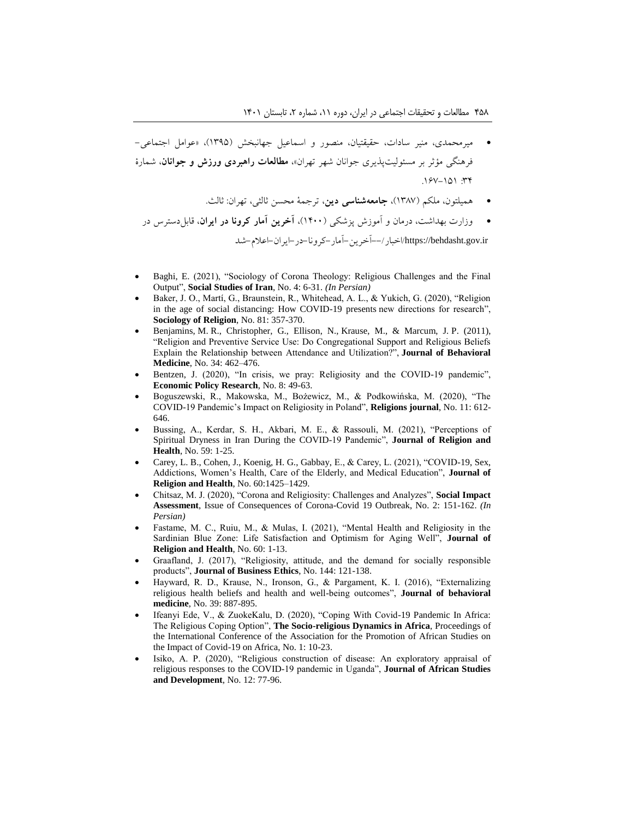- میرمحمدی، منیر سادات، حقیقتیان، منصور و اسماعیل جهانبخش )1395(، »عوامل اجتماعی- فرهنگی مؤثر بر مسئولیتپذیری جوانان شهر تهران«، **مطالعات راهبردی ورزش و جوانان**، شمارۀ  $.15V-101$  :  $44V$ 
	- همیلتون، ملکم )1387(، **جامعهشناسی دین**، ترجمۀ محسن ثالثی، تهران: ثالث.
	- وزارت بهداشت، درمان و آموزش پزشکی )1400(، **آخرین آمار کرونا در ایران**، قابلدسترس در ir.gov.behdasht://https/اخبار--/آخرین-آمار-کرونا-در-ایران-اعالم-شد
- Baghi, E. (2021), "Sociology of Corona Theology: Religious Challenges and the Final Output", **Social Studies of Iran**, No. 4: 6-31. *(In Persian)*
- Baker, J. O., Martí, G., Braunstein, R., Whitehead, A. L., & Yukich, G. (2020), "Religion in the age of social distancing: How COVID-19 presents new directions for research", **Sociology of Religion**, No. 81: 357-370.
- Benjamins, M. R., Christopher, G., Ellison, N., Krause, M., & Marcum, J. P. (2011), "Religion and Preventive Service Use: Do Congregational Support and Religious Beliefs Explain the Relationship between Attendance and Utilization?", **Journal of Behavioral Medicine**, No. 34: 462–476.
- Bentzen, J. (2020), "In crisis, we pray: Religiosity and the COVID-19 pandemic", **Economic Policy Research**, No. 8: 49-63.
- Boguszewski, R., Makowska, M., Bożewicz, M., & Podkowińska, M. (2020), "The COVID-19 Pandemic's Impact on Religiosity in Poland", **Religions journal**, No. 11: 612- 646.
- Bussing, A., Kerdar, S. H., Akbari, M. E., & Rassouli, M. (2021), "Perceptions of Spiritual Dryness in Iran During the COVID-19 Pandemic", **Journal of Religion and Health**, No. 59: 1-25.
- Carey, L. B., Cohen, J., Koenig, H. G., Gabbay, E., & Carey, L. (2021), "COVID-19, Sex, Addictions, Women's Health, Care of the Elderly, and Medical Education", **Journal of Religion and Health**, No. 60:1425–1429.
- Chitsaz, M. J. (2020), "Corona and Religiosity: Challenges and Analyzes", **Social Impact Assessment**, Issue of Consequences of Corona-Covid 19 Outbreak, No. 2: 151-162. *(In Persian)*
- Fastame, M. C., Ruiu, M., & Mulas, I. (2021), "Mental Health and Religiosity in the Sardinian Blue Zone: Life Satisfaction and Optimism for Aging Well", **Journal of Religion and Health**, No. 60: 1-13.
- Graafland, J. (2017), "Religiosity, attitude, and the demand for socially responsible products", **Journal of Business Ethics**, No. 144: 121-138.
- Hayward, R. D., Krause, N., Ironson, G., & Pargament, K. I. (2016), "Externalizing religious health beliefs and health and well-being outcomes", **Journal of behavioral medicine**, No. 39: 887-895.
- Ifeanyi Ede, V., & ZuokeKalu, D. (2020), "Coping With Covid-19 Pandemic In Africa: The Religious Coping Option", **The Socio-religious Dynamics in Africa**, Proceedings of the International Conference of the Association for the Promotion of African Studies on the Impact of Covid-19 on Africa, No. 1: 10-23.
- Isiko, A. P. (2020), "Religious construction of disease: An exploratory appraisal of religious responses to the COVID-19 pandemic in Uganda", **Journal of African Studies and Development**, No. 12: 77-96.